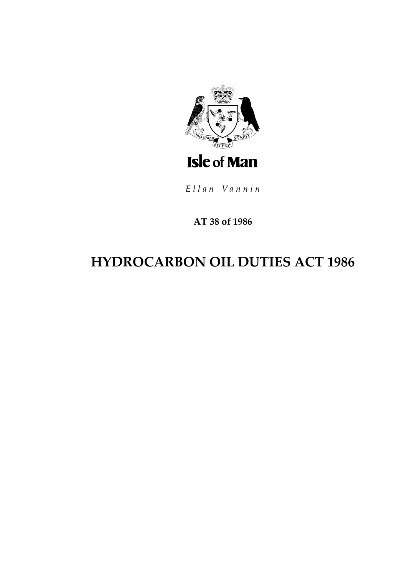

Ellan Vannin

**AT 38 of 1986**

# **HYDROCARBON OIL DUTIES ACT 1986**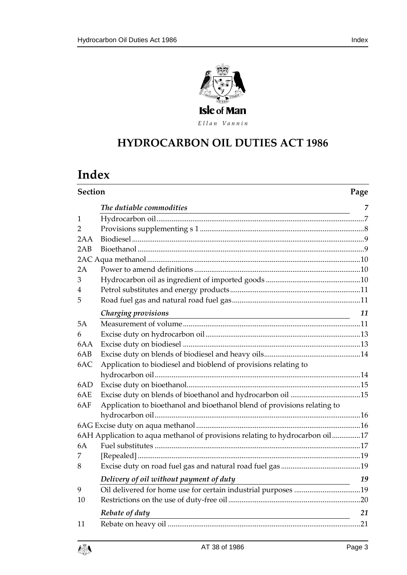

Ellan Vannin

# **HYDROCARBON OIL DUTI ES ACT 1986**

# **Index**

| Section      |                                                                                                                                                                 | Page |
|--------------|-----------------------------------------------------------------------------------------------------------------------------------------------------------------|------|
|              | The dutiable commodities                                                                                                                                        | 7    |
| $\mathbf{1}$ |                                                                                                                                                                 |      |
| 2            |                                                                                                                                                                 |      |
| 2AA          |                                                                                                                                                                 |      |
| 2AB          |                                                                                                                                                                 |      |
|              |                                                                                                                                                                 |      |
| 2A           |                                                                                                                                                                 |      |
| 3            |                                                                                                                                                                 |      |
| 4            |                                                                                                                                                                 |      |
| 5            |                                                                                                                                                                 |      |
|              | Charging provisions<br><u> 1989 - Johann Stoff, Amerikaansk politiker (</u>                                                                                     | 11   |
| 5A           |                                                                                                                                                                 |      |
| 6            |                                                                                                                                                                 |      |
| 6AA          |                                                                                                                                                                 |      |
| 6AB          |                                                                                                                                                                 |      |
| 6AC          | Application to biodiesel and bioblend of provisions relating to                                                                                                 |      |
|              |                                                                                                                                                                 |      |
| 6AD          |                                                                                                                                                                 |      |
| 6AE          |                                                                                                                                                                 |      |
| 6AF          | Application to bioethanol and bioethanol blend of provisions relating to                                                                                        |      |
|              |                                                                                                                                                                 |      |
|              |                                                                                                                                                                 |      |
|              | 6AH Application to aqua methanol of provisions relating to hydrocarbon oil17                                                                                    |      |
| 6A           |                                                                                                                                                                 |      |
| 7            |                                                                                                                                                                 |      |
| 8            |                                                                                                                                                                 |      |
|              | Delivery of oil without payment of duty<br><u> 1980 - Jan Stein Stein Stein Stein Stein Stein Stein Stein Stein Stein Stein Stein Stein Stein Stein Stein S</u> | 19   |
| 9            |                                                                                                                                                                 |      |
| 10           |                                                                                                                                                                 |      |
|              | Rebate of duty                                                                                                                                                  | 21   |
| 11           |                                                                                                                                                                 |      |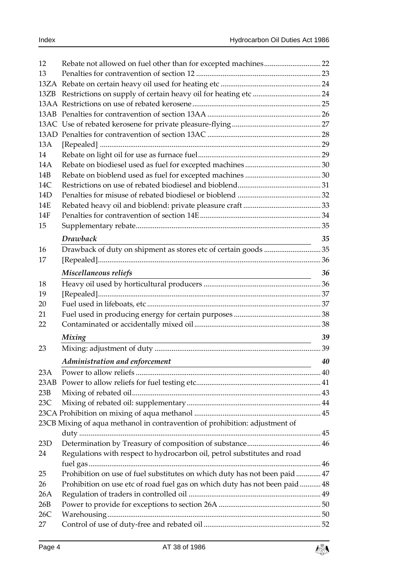| 12       |                                                                                                                      |    |
|----------|----------------------------------------------------------------------------------------------------------------------|----|
| 13       |                                                                                                                      |    |
|          |                                                                                                                      |    |
|          | 13ZB Restrictions on supply of certain heavy oil for heating etc  24                                                 |    |
|          |                                                                                                                      |    |
|          |                                                                                                                      |    |
|          |                                                                                                                      |    |
|          |                                                                                                                      |    |
| 13A      |                                                                                                                      |    |
| 14       |                                                                                                                      |    |
| 14A      |                                                                                                                      |    |
| 14B      |                                                                                                                      |    |
| 14C      |                                                                                                                      |    |
| 14D      |                                                                                                                      |    |
| 14E      |                                                                                                                      |    |
| 14F      |                                                                                                                      |    |
| 15       |                                                                                                                      |    |
|          | <b>Drawback</b>                                                                                                      | 35 |
| 16       | Drawback of duty on shipment as stores etc of certain goods 35                                                       |    |
| 17       |                                                                                                                      |    |
|          | Miscellaneous reliefs                                                                                                | 36 |
|          | <u> 1989 - Johann Barn, mars eta bainar eta bainar eta baina eta baina eta baina eta baina eta baina eta baina e</u> |    |
| 18<br>19 |                                                                                                                      |    |
| 20       |                                                                                                                      |    |
| 21       |                                                                                                                      |    |
| 22       |                                                                                                                      |    |
|          |                                                                                                                      |    |
|          | Mixing                                                                                                               | 39 |
| 23       |                                                                                                                      |    |
|          | Administration and enforcement                                                                                       | 40 |
| 23A      |                                                                                                                      |    |
| 23AB     |                                                                                                                      |    |
| 23B      |                                                                                                                      |    |
| 23C      |                                                                                                                      |    |
|          |                                                                                                                      |    |
|          | 23CB Mixing of aqua methanol in contravention of prohibition: adjustment of                                          |    |
|          |                                                                                                                      |    |
| 23D      |                                                                                                                      |    |
| 24       | Regulations with respect to hydrocarbon oil, petrol substitutes and road                                             |    |
|          |                                                                                                                      |    |
| 25       | Prohibition on use of fuel substitutes on which duty has not been paid  47                                           |    |
| 26       | Prohibition on use etc of road fuel gas on which duty has not been paid 48                                           |    |
| 26A      |                                                                                                                      |    |
| 26B      |                                                                                                                      |    |
| 26C      |                                                                                                                      |    |
| 27       |                                                                                                                      |    |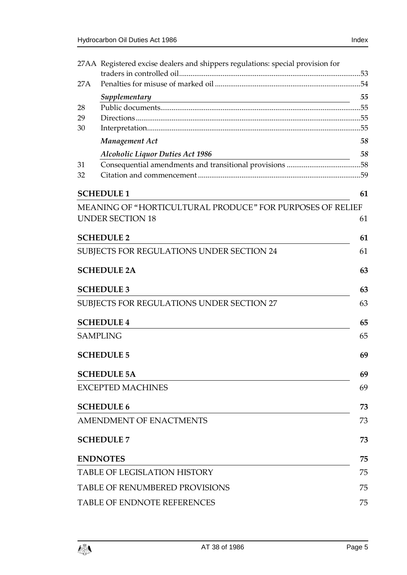|     | 27AA Registered excise dealers and shippers regulations: special provision for         |    |
|-----|----------------------------------------------------------------------------------------|----|
|     |                                                                                        |    |
| 27A |                                                                                        |    |
|     | Supplementary                                                                          | 55 |
| 28  |                                                                                        |    |
| 29  |                                                                                        |    |
| 30  |                                                                                        |    |
|     | Management Act                                                                         | 58 |
|     | <b>Alcoholic Liquor Duties Act 1986</b><br><u> 1980 - Johann Barn, mars ann an t-A</u> | 58 |
| 31  |                                                                                        |    |
| 32  |                                                                                        |    |
|     | <b>SCHEDULE 1</b>                                                                      | 61 |
|     | MEANING OF "HORTICULTURAL PRODUCE" FOR PURPOSES OF RELIEF                              |    |
|     | <b>UNDER SECTION 18</b>                                                                | 61 |
|     | <b>SCHEDULE 2</b>                                                                      | 61 |
|     | SUBJECTS FOR REGULATIONS UNDER SECTION 24                                              | 61 |
|     | <b>SCHEDULE 2A</b>                                                                     | 63 |
|     | <b>SCHEDULE 3</b>                                                                      | 63 |
|     | SUBJECTS FOR REGULATIONS UNDER SECTION 27                                              | 63 |
|     | <b>SCHEDULE 4</b>                                                                      | 65 |
|     | <b>SAMPLING</b>                                                                        | 65 |
|     | <b>SCHEDULE 5</b>                                                                      | 69 |
|     | <b>SCHEDULE 5A</b>                                                                     | 69 |
|     | <b>EXCEPTED MACHINES</b>                                                               | 69 |
|     | <b>SCHEDULE 6</b>                                                                      | 73 |
|     | AMENDMENT OF ENACTMENTS                                                                | 73 |
|     | <b>SCHEDULE 7</b>                                                                      | 73 |
|     | <b>ENDNOTES</b>                                                                        | 75 |
|     | <b>TABLE OF LEGISLATION HISTORY</b>                                                    | 75 |
|     | <b>TABLE OF RENUMBERED PROVISIONS</b>                                                  | 75 |
|     | TABLE OF ENDNOTE REFERENCES                                                            | 75 |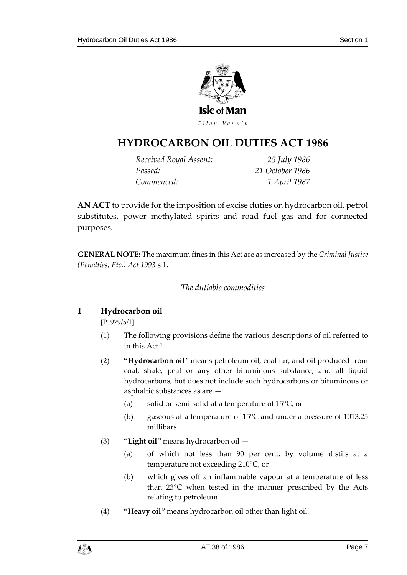

**HYDROCARBON OIL DUTI ES ACT 1986**

*Received Royal Assent: 25 July 1986 Passed: 21 October 1986 Commenced: 1 April 1987*

**AN ACT** to provide for the imposition of excise duties on hydrocarbon oil, petrol substitutes, power methylated spirits and road fuel gas and for connected purposes.

<span id="page-6-0"></span>**GENERAL NOTE:** The maximum fines in this Act are as increased by the *Criminal Justice (Penalties, Etc.) Act 1993* s 1.

#### *The dutiable commodities*

#### <span id="page-6-1"></span>**1 Hydrocarbon oil**

[P1979/5/1]

- (1) The following provisions define the various descriptions of oil referred to in this Act.**<sup>1</sup>**
- (2) "**Hydrocarbon oil**" means petroleum oil, coal tar, and oil produced from coal, shale, peat or any other bituminous substance, and all liquid hydrocarbons, but does not include such hydrocarbons or bituminous or asphaltic substances as are —
	- (a) solid or semi-solid at a temperature of 15°C, or
	- (b) gaseous at a temperature of 15°C and under a pressure of 1013.25 millibars.
- (3) "**Light oil**" means hydrocarbon oil
	- (a) of which not less than 90 per cent. by volume distils at a temperature not exceeding 210°C, or
	- (b) which gives off an inflammable vapour at a temperature of less than 23°C when tested in the manner prescribed by the Acts relating to petroleum.
- (4) "**Heavy oil**" means hydrocarbon oil other than light oil.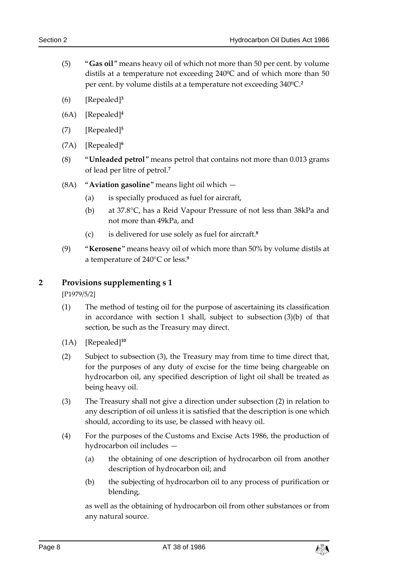- (5) "**Gas oil**" means heavy oil of which not more than 50 per cent. by volume distils at a temperature not exceeding 240ºC and of which more than 50 per cent. by volume distils at a temperature not exceeding 340ºC.**<sup>2</sup>**
- (6) [Repealed]**<sup>3</sup>**
- (6A) [Repealed]**<sup>4</sup>**
- (7) [Repealed]**<sup>5</sup>**
- (7A) [Repealed]**<sup>6</sup>**
- (8) "**Unleaded petrol**" means petrol that contains not more than 0.013 grams of lead per litre of petrol.**<sup>7</sup>**
- (8A) "**Aviation gasoline**" means light oil which
	- (a) is specially produced as fuel for aircraft,
	- (b) at 37.8°C, has a Reid Vapour Pressure of not less than 38kPa and not more than 49kPa, and
	- (c) is delivered for use solely as fuel for aircraft.**<sup>8</sup>**
- (9) "**Kerosene**" means heavy oil of which more than 50% by volume distils at a temperature of 240°C or less.**<sup>9</sup>**

#### <span id="page-7-0"></span>**2 Provisions supplementing s 1**

[P1979/5/2]

- (1) The method of testing oil for the purpose of ascertaining its classification in accordance with section 1 shall, subject to subsection (3)(b) of that section, be such as the Treasury may direct.
- (1A) [Repealed]**<sup>10</sup>**
- (2) Subject to subsection (3), the Treasury may from time to time direct that, for the purposes of any duty of excise for the time being chargeable on hydrocarbon oil, any specified description of light oil shall be treated as being heavy oil.
- (3) The Treasury shall not give a direction under subsection (2) in relation to any description of oil unless it is satisfied that the description is one which should, according to its use, be classed with heavy oil.
- (4) For the purposes of the Customs and Excise Acts 1986, the production of hydrocarbon oil includes —
	- (a) the obtaining of one description of hydrocarbon oil from another description of hydrocarbon oil; and
	- (b) the subjecting of hydrocarbon oil to any process of purification or blending,

as well as the obtaining of hydrocarbon oil from other substances or from any natural source.

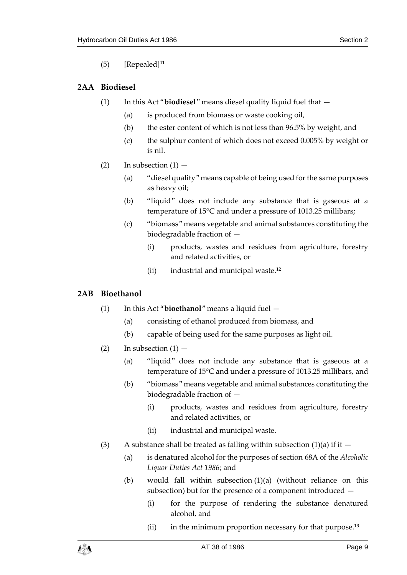(5) [Repealed]**<sup>11</sup>**

# <span id="page-8-0"></span>**2AA Biodiesel**

- (1) In this Act "**biodiesel**" means diesel quality liquid fuel that
	- (a) is produced from biomass or waste cooking oil,
	- (b) the ester content of which is not less than 96.5% by weight, and
	- (c) the sulphur content of which does not exceed 0.005% by weight or is nil.
- (2) In subsection  $(1)$ 
	- (a) "diesel quality" means capable of being used for the same purposes as heavy oil;
	- (b) "liquid" does not include any substance that is gaseous at a temperature of 15°C and under a pressure of 1013.25 millibars;
	- (c) "biomass" means vegetable and animal substances constituting the biodegradable fraction of —
		- (i) products, wastes and residues from agriculture, forestry and related activities, or
		- (ii) industrial and municipal waste.**<sup>12</sup>**

#### <span id="page-8-1"></span>**2AB Bioethanol**

- (1) In this Act "**bioethanol**" means a liquid fuel
	- (a) consisting of ethanol produced from biomass, and
	- (b) capable of being used for the same purposes as light oil.
- (2) In subsection  $(1)$ 
	- (a) "liquid" does not include any substance that is gaseous at a temperature of 15°C and under a pressure of 1013.25 millibars, and
	- (b) "biomass" means vegetable and animal substances constituting the biodegradable fraction of —
		- (i) products, wastes and residues from agriculture, forestry and related activities, or
		- (ii) industrial and municipal waste.
- (3) A substance shall be treated as falling within subsection  $(1)(a)$  if it  $-$ 
	- (a) is denatured alcohol for the purposes of section 68A of the *Alcoholic Liquor Duties Act 1986*; and
	- (b) would fall within subsection (1)(a) (without reliance on this subsection) but for the presence of a component introduced —
		- (i) for the purpose of rendering the substance denatured alcohol, and
		- (ii) in the minimum proportion necessary for that purpose.**<sup>13</sup>**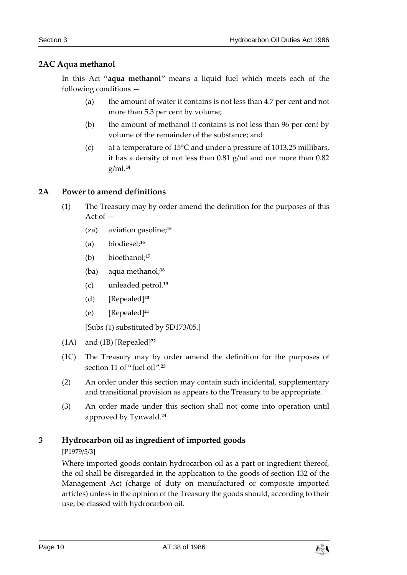# <span id="page-9-0"></span>**2AC Aqua methanol**

In this Act "**aqua methanol**" means a liquid fuel which meets each of the following conditions —

- (a) the amount of water it contains is not less than 4.7 per cent and not more than 5.3 per cent by volume;
- (b) the amount of methanol it contains is not less than 96 per cent by volume of the remainder of the substance; and
- (c) at a temperature of 15°C and under a pressure of 1013.25 millibars, it has a density of not less than 0.81 g/ml and not more than 0.82 g/ml.**<sup>14</sup>**

# <span id="page-9-1"></span>**2A Power to amend definitions**

- (1) The Treasury may by order amend the definition for the purposes of this Act of  $-$ 
	- (za) aviation gasoline;**<sup>15</sup>**
	- (a) biodiesel;**<sup>16</sup>**
	- (b) bioethanol;**<sup>17</sup>**
	- (ba) aqua methanol;**<sup>18</sup>**
	- (c) unleaded petrol.**<sup>19</sup>**
	- (d) [Repealed]**<sup>20</sup>**
	- (e) [Repealed]**<sup>21</sup>**

[Subs (1) substituted by SD173/05.]

- (1A) and (1B) [Repealed]**<sup>22</sup>**
- (1C) The Treasury may by order amend the definition for the purposes of section 11 of "fuel oil". **23**
- (2) An order under this section may contain such incidental, supplementary and transitional provision as appears to the Treasury to be appropriate.
- (3) An order made under this section shall not come into operation until approved by Tynwald.**<sup>24</sup>**

# <span id="page-9-2"></span>**3 Hydrocarbon oil as ingredient of imported goods**

# [P1979/5/3]

Where imported goods contain hydrocarbon oil as a part or ingredient thereof, the oil shall be disregarded in the application to the goods of section 132 of the Management Act (charge of duty on manufactured or composite imported articles) unless in the opinion of the Treasury the goods should, according to their use, be classed with hydrocarbon oil.

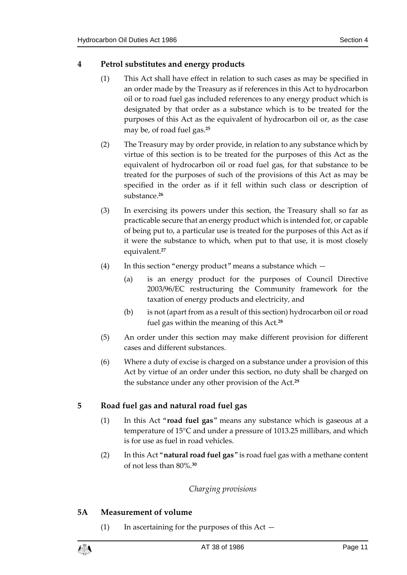# <span id="page-10-0"></span>**4 Petrol substitutes and energy products**

- (1) This Act shall have effect in relation to such cases as may be specified in an order made by the Treasury as if references in this Act to hydrocarbon oil or to road fuel gas included references to any energy product which is designated by that order as a substance which is to be treated for the purposes of this Act as the equivalent of hydrocarbon oil or, as the case may be, of road fuel gas.**<sup>25</sup>**
- (2) The Treasury may by order provide, in relation to any substance which by virtue of this section is to be treated for the purposes of this Act as the equivalent of hydrocarbon oil or road fuel gas, for that substance to be treated for the purposes of such of the provisions of this Act as may be specified in the order as if it fell within such class or description of substance.**<sup>26</sup>**
- (3) In exercising its powers under this section, the Treasury shall so far as practicable secure that an energy product which is intended for, or capable of being put to, a particular use is treated for the purposes of this Act as if it were the substance to which, when put to that use, it is most closely equivalent.**<sup>27</sup>**
- (4) In this section "energy product" means a substance which  $-$ 
	- (a) is an energy product for the purposes of Council Directive 2003/96/EC restructuring the Community framework for the taxation of energy products and electricity, and
	- (b) is not (apart from as a result of this section) hydrocarbon oil or road fuel gas within the meaning of this Act.**<sup>28</sup>**
- (5) An order under this section may make different provision for different cases and different substances.
- (6) Where a duty of excise is charged on a substance under a provision of this Act by virtue of an order under this section, no duty shall be charged on the substance under any other provision of the Act.**<sup>29</sup>**

# <span id="page-10-1"></span>**5 Road fuel gas and natural road fuel gas**

- (1) In this Act "**road fuel gas**" means any substance which is gaseous at a temperature of 15°C and under a pressure of 1013.25 millibars, and which is for use as fuel in road vehicles.
- <span id="page-10-2"></span>(2) In this Act "**natural road fuel gas**" is road fuel gas with a methane content of not less than 80%.**<sup>30</sup>**

# *Charging provisions*

# <span id="page-10-3"></span>**5A Measurement of volume**

(1) In ascertaining for the purposes of this  $Act$   $-$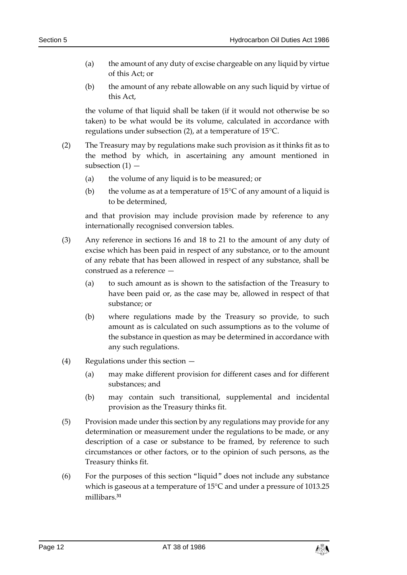- (a) the amount of any duty of excise chargeable on any liquid by virtue of this Act; or
- (b) the amount of any rebate allowable on any such liquid by virtue of this Act,

the volume of that liquid shall be taken (if it would not otherwise be so taken) to be what would be its volume, calculated in accordance with regulations under subsection (2), at a temperature of 15°C.

- (2) The Treasury may by regulations make such provision as it thinks fit as to the method by which, in ascertaining any amount mentioned in subsection  $(1)$  -
	- (a) the volume of any liquid is to be measured; or
	- (b) the volume as at a temperature of  $15^{\circ}$ C of any amount of a liquid is to be determined,

and that provision may include provision made by reference to any internationally recognised conversion tables.

- (3) Any reference in sections 16 and 18 to 21 to the amount of any duty of excise which has been paid in respect of any substance, or to the amount of any rebate that has been allowed in respect of any substance, shall be construed as a reference —
	- (a) to such amount as is shown to the satisfaction of the Treasury to have been paid or, as the case may be, allowed in respect of that substance; or
	- (b) where regulations made by the Treasury so provide, to such amount as is calculated on such assumptions as to the volume of the substance in question as may be determined in accordance with any such regulations.
- (4) Regulations under this section
	- (a) may make different provision for different cases and for different substances; and
	- (b) may contain such transitional, supplemental and incidental provision as the Treasury thinks fit.
- (5) Provision made under this section by any regulations may provide for any determination or measurement under the regulations to be made, or any description of a case or substance to be framed, by reference to such circumstances or other factors, or to the opinion of such persons, as the Treasury thinks fit.
- (6) For the purposes of this section "liquid" does not include any substance which is gaseous at a temperature of 15°C and under a pressure of 1013.25 millibars.**31**

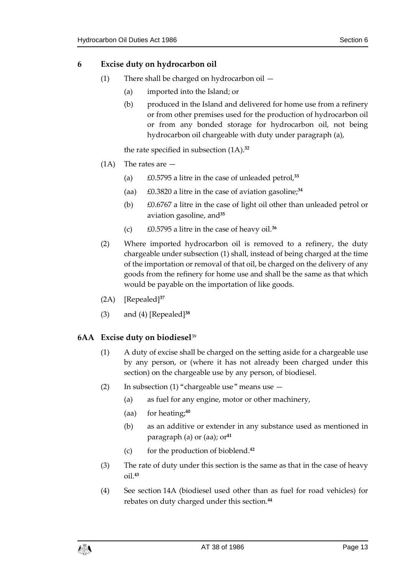### <span id="page-12-0"></span>**6 Excise duty on hydrocarbon oil**

- (1) There shall be charged on hydrocarbon oil
	- (a) imported into the Island; or
	- (b) produced in the Island and delivered for home use from a refinery or from other premises used for the production of hydrocarbon oil or from any bonded storage for hydrocarbon oil, not being hydrocarbon oil chargeable with duty under paragraph (a),

the rate specified in subsection (1A).**<sup>32</sup>**

- $(1A)$  The rates are  $-$ 
	- (a) £0.5795 a litre in the case of unleaded petrol,**<sup>33</sup>**
	- (aa) £0.3820 a litre in the case of aviation gasoline;**<sup>34</sup>**
	- (b) £0.6767 a litre in the case of light oil other than unleaded petrol or aviation gasoline, and**<sup>35</sup>**
	- (c) £0.5795 a litre in the case of heavy oil.**<sup>36</sup>**
- (2) Where imported hydrocarbon oil is removed to a refinery, the duty chargeable under subsection (1) shall, instead of being charged at the time of the importation or removal of that oil, be charged on the delivery of any goods from the refinery for home use and shall be the same as that which would be payable on the importation of like goods.
- (2A) [Repealed]**<sup>37</sup>**
- (3) and (4) [Repealed]**<sup>38</sup>**

#### <span id="page-12-1"></span>**6AA Excise duty on biodiesel**<sup>39</sup>

- (1) A duty of excise shall be charged on the setting aside for a chargeable use by any person, or (where it has not already been charged under this section) on the chargeable use by any person, of biodiesel.
- (2) In subsection (1) "chargeable use" means use  $-$ 
	- (a) as fuel for any engine, motor or other machinery,
	- (aa) for heating; **40**
	- (b) as an additive or extender in any substance used as mentioned in paragraph (a) or (aa); or**<sup>41</sup>**
	- (c) for the production of bioblend.**<sup>42</sup>**
- (3) The rate of duty under this section is the same as that in the case of heavy oil.**<sup>43</sup>**
- (4) See section 14A (biodiesel used other than as fuel for road vehicles) for rebates on duty charged under this section.**44**

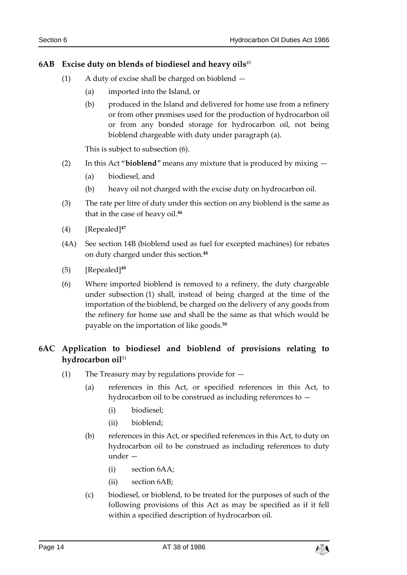# <span id="page-13-0"></span>**6AB Excise duty on blends of biodiesel and heavy oils**<sup>45</sup>

- (1) A duty of excise shall be charged on bioblend
	- (a) imported into the Island, or
	- (b) produced in the Island and delivered for home use from a refinery or from other premises used for the production of hydrocarbon oil or from any bonded storage for hydrocarbon oil, not being bioblend chargeable with duty under paragraph (a).

This is subject to subsection (6).

- (2) In this Act "**bioblend**" means any mixture that is produced by mixing
	- (a) biodiesel, and
	- (b) heavy oil not charged with the excise duty on hydrocarbon oil.
- (3) The rate per litre of duty under this section on any bioblend is the same as that in the case of heavy oil.**<sup>46</sup>**
- (4) [Repealed]**<sup>47</sup>**
- (4A) See section 14B (bioblend used as fuel for excepted machines) for rebates on duty charged under this section.**<sup>48</sup>**
- (5) [Repealed]**<sup>49</sup>**
- (6) Where imported bioblend is removed to a refinery, the duty chargeable under subsection (1) shall, instead of being charged at the time of the importation of the bioblend, be charged on the delivery of any goods from the refinery for home use and shall be the same as that which would be payable on the importation of like goods.**<sup>50</sup>**

# <span id="page-13-1"></span>**6AC Application to biodiesel and bioblend of provisions relating to hydrocarbon oil**<sup>51</sup>

- (1) The Treasury may by regulations provide for
	- (a) references in this Act, or specified references in this Act, to hydrocarbon oil to be construed as including references to —
		- (i) biodiesel;
		- (ii) bioblend;
	- (b) references in this Act, or specified references in this Act, to duty on hydrocarbon oil to be construed as including references to duty under —
		- (i) section 6AA;
		- (ii) section 6AB;
	- (c) biodiesel, or bioblend, to be treated for the purposes of such of the following provisions of this Act as may be specified as if it fell within a specified description of hydrocarbon oil.

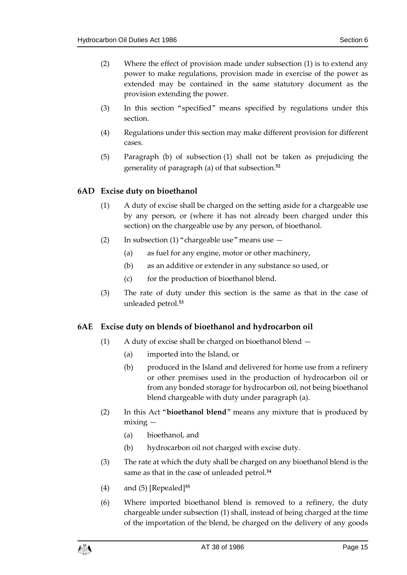- (2) Where the effect of provision made under subsection (1) is to extend any power to make regulations, provision made in exercise of the power as extended may be contained in the same statutory document as the provision extending the power.
- (3) In this section "specified" means specified by regulations under this section.
- (4) Regulations under this section may make different provision for different cases.
- (5) Paragraph (b) of subsection (1) shall not be taken as prejudicing the generality of paragraph (a) of that subsection.**<sup>52</sup>**

# <span id="page-14-0"></span>**6AD Excise duty on bioethanol**

- (1) A duty of excise shall be charged on the setting aside for a chargeable use by any person, or (where it has not already been charged under this section) on the chargeable use by any person, of bioethanol.
- (2) In subsection (1) "chargeable use" means use
	- (a) as fuel for any engine, motor or other machinery,
	- (b) as an additive or extender in any substance so used, or
	- (c) for the production of bioethanol blend.
- (3) The rate of duty under this section is the same as that in the case of unleaded petrol.**<sup>53</sup>**

#### <span id="page-14-1"></span>**6AE Excise duty on blends of bioethanol and hydrocarbon oil**

- (1) A duty of excise shall be charged on bioethanol blend
	- (a) imported into the Island, or
	- (b) produced in the Island and delivered for home use from a refinery or other premises used in the production of hydrocarbon oil or from any bonded storage for hydrocarbon oil, not being bioethanol blend chargeable with duty under paragraph (a).
- (2) In this Act "**bioethanol blend**" means any mixture that is produced by mixing —
	- (a) bioethanol, and
	- (b) hydrocarbon oil not charged with excise duty.
- (3) The rate at which the duty shall be charged on any bioethanol blend is the same as that in the case of unleaded petrol.**<sup>54</sup>**
- (4) and (5) [Repealed]**<sup>55</sup>**
- (6) Where imported bioethanol blend is removed to a refinery, the duty chargeable under subsection (1) shall, instead of being charged at the time of the importation of the blend, be charged on the delivery of any goods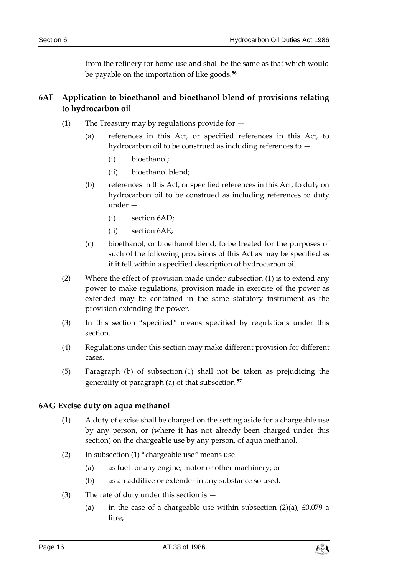from the refinery for home use and shall be the same as that which would be payable on the importation of like goods.**<sup>56</sup>**

# <span id="page-15-0"></span>**6AF Application to bioethanol and bioethanol blend of provisions relating to hydrocarbon oil**

- (1) The Treasury may by regulations provide for
	- (a) references in this Act, or specified references in this Act, to hydrocarbon oil to be construed as including references to —
		- (i) bioethanol;
		- (ii) bioethanol blend;
	- (b) references in this Act, or specified references in this Act, to duty on hydrocarbon oil to be construed as including references to duty under —
		- (i) section 6AD;
		- (ii) section 6AE;
	- (c) bioethanol, or bioethanol blend, to be treated for the purposes of such of the following provisions of this Act as may be specified as if it fell within a specified description of hydrocarbon oil.
- (2) Where the effect of provision made under subsection (1) is to extend any power to make regulations, provision made in exercise of the power as extended may be contained in the same statutory instrument as the provision extending the power.
- (3) In this section "specified" means specified by regulations under this section.
- (4) Regulations under this section may make different provision for different cases.
- (5) Paragraph (b) of subsection (1) shall not be taken as prejudicing the generality of paragraph (a) of that subsection.**<sup>57</sup>**

#### <span id="page-15-1"></span>**6AG Excise duty on aqua methanol**

- (1) A duty of excise shall be charged on the setting aside for a chargeable use by any person, or (where it has not already been charged under this section) on the chargeable use by any person, of aqua methanol.
- (2) In subsection (1) "chargeable use" means use  $-$ 
	- (a) as fuel for any engine, motor or other machinery; or
	- (b) as an additive or extender in any substance so used.
- (3) The rate of duty under this section is  $-$ 
	- (a) in the case of a chargeable use within subsection  $(2)(a)$ ,  $\text{\pounds}0.079$  a litre;

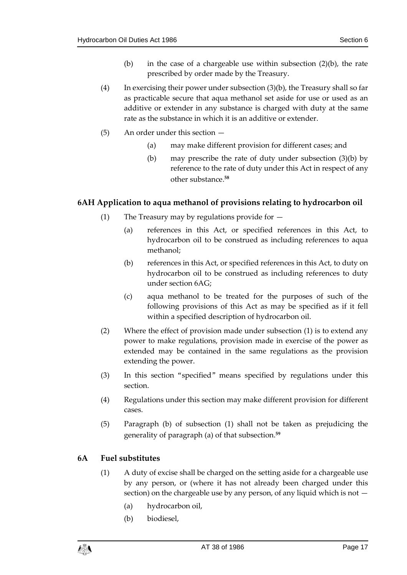- (b) in the case of a chargeable use within subsection  $(2)(b)$ , the rate prescribed by order made by the Treasury.
- (4) In exercising their power under subsection (3)(b), the Treasury shall so far as practicable secure that aqua methanol set aside for use or used as an additive or extender in any substance is charged with duty at the same rate as the substance in which it is an additive or extender.
- (5) An order under this section
	- (a) may make different provision for different cases; and
	- (b) may prescribe the rate of duty under subsection (3)(b) by reference to the rate of duty under this Act in respect of any other substance.**<sup>58</sup>**

# <span id="page-16-0"></span>**6AH Application to aqua methanol of provisions relating to hydrocarbon oil**

- (1) The Treasury may by regulations provide for
	- (a) references in this Act, or specified references in this Act, to hydrocarbon oil to be construed as including references to aqua methanol;
	- (b) references in this Act, or specified references in this Act, to duty on hydrocarbon oil to be construed as including references to duty under section 6AG;
	- (c) aqua methanol to be treated for the purposes of such of the following provisions of this Act as may be specified as if it fell within a specified description of hydrocarbon oil.
- (2) Where the effect of provision made under subsection (1) is to extend any power to make regulations, provision made in exercise of the power as extended may be contained in the same regulations as the provision extending the power.
- (3) In this section "specified" means specified by regulations under this section.
- (4) Regulations under this section may make different provision for different cases.
- (5) Paragraph (b) of subsection (1) shall not be taken as prejudicing the generality of paragraph (a) of that subsection.**<sup>59</sup>**

#### <span id="page-16-1"></span>**6A Fuel substitutes**

- (1) A duty of excise shall be charged on the setting aside for a chargeable use by any person, or (where it has not already been charged under this section) on the chargeable use by any person, of any liquid which is not —
	- (a) hydrocarbon oil,
	- (b) biodiesel,

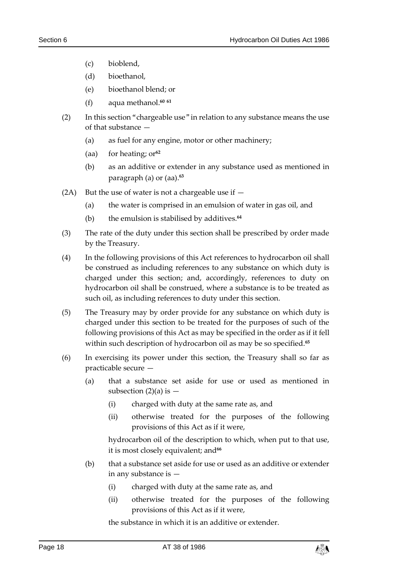- (c) bioblend,
- (d) bioethanol,
- (e) bioethanol blend; or
- (f) aqua methanol. **60 61**
- (2) In this section "chargeable use" in relation to any substance means the use of that substance —
	- (a) as fuel for any engine, motor or other machinery;
	- (aa) for heating; or **62**
	- (b) as an additive or extender in any substance used as mentioned in paragraph (a) or (aa). **63**
- (2A) But the use of water is not a chargeable use if  $-$ 
	- (a) the water is comprised in an emulsion of water in gas oil, and
	- (b) the emulsion is stabilised by additives.**<sup>64</sup>**
- (3) The rate of the duty under this section shall be prescribed by order made by the Treasury.
- (4) In the following provisions of this Act references to hydrocarbon oil shall be construed as including references to any substance on which duty is charged under this section; and, accordingly, references to duty on hydrocarbon oil shall be construed, where a substance is to be treated as such oil, as including references to duty under this section.
- (5) The Treasury may by order provide for any substance on which duty is charged under this section to be treated for the purposes of such of the following provisions of this Act as may be specified in the order as if it fell within such description of hydrocarbon oil as may be so specified.**<sup>65</sup>**
- (6) In exercising its power under this section, the Treasury shall so far as practicable secure —
	- (a) that a substance set aside for use or used as mentioned in subsection  $(2)(a)$  is  $-$ 
		- (i) charged with duty at the same rate as, and
		- (ii) otherwise treated for the purposes of the following provisions of this Act as if it were,

hydrocarbon oil of the description to which, when put to that use, it is most closely equivalent; and<sup>66</sup>

- (b) that a substance set aside for use or used as an additive or extender in any substance is —
	- (i) charged with duty at the same rate as, and
	- (ii) otherwise treated for the purposes of the following provisions of this Act as if it were,

the substance in which it is an additive or extender.

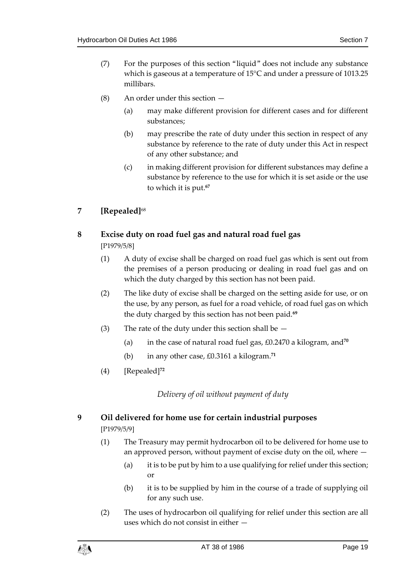- (7) For the purposes of this section "liquid" does not include any substance which is gaseous at a temperature of 15°C and under a pressure of 1013.25 millibars.
- (8) An order under this section
	- (a) may make different provision for different cases and for different substances;
	- (b) may prescribe the rate of duty under this section in respect of any substance by reference to the rate of duty under this Act in respect of any other substance; and
	- (c) in making different provision for different substances may define a substance by reference to the use for which it is set aside or the use to which it is put.**<sup>67</sup>**

# <span id="page-18-0"></span>**7 [Repealed]**<sup>68</sup>

# <span id="page-18-1"></span>**8 Excise duty on road fuel gas and natural road fuel gas**

[P1979/5/8]

- (1) A duty of excise shall be charged on road fuel gas which is sent out from the premises of a person producing or dealing in road fuel gas and on which the duty charged by this section has not been paid.
- (2) The like duty of excise shall be charged on the setting aside for use, or on the use, by any person, as fuel for a road vehicle, of road fuel gas on which the duty charged by this section has not been paid.**<sup>69</sup>**
- (3) The rate of the duty under this section shall be  $-$ 
	- (a) in the case of natural road fuel gas, £0.2470 a kilogram, and**<sup>70</sup>**
	- (b) in any other case, £0.3161 a kilogram.**<sup>71</sup>**
- <span id="page-18-2"></span>(4) [Repealed]**<sup>72</sup>**

*Delivery of oil without payment of duty*

# <span id="page-18-3"></span>**9 Oil delivered for home use for certain industrial purposes** [P1979/5/9]

- (1) The Treasury may permit hydrocarbon oil to be delivered for home use to an approved person, without payment of excise duty on the oil, where —
	- (a) it is to be put by him to a use qualifying for relief under this section; or
	- (b) it is to be supplied by him in the course of a trade of supplying oil for any such use.
- (2) The uses of hydrocarbon oil qualifying for relief under this section are all uses which do not consist in either —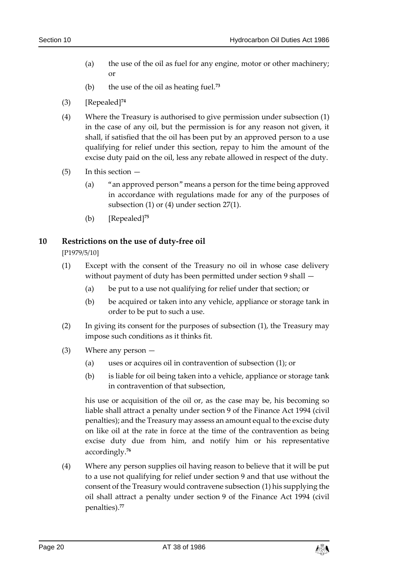- (a) the use of the oil as fuel for any engine, motor or other machinery; or
- (b) the use of the oil as heating fuel.**<sup>73</sup>**
- (3) [Repealed]**<sup>74</sup>**
- (4) Where the Treasury is authorised to give permission under subsection (1) in the case of any oil, but the permission is for any reason not given, it shall, if satisfied that the oil has been put by an approved person to a use qualifying for relief under this section, repay to him the amount of the excise duty paid on the oil, less any rebate allowed in respect of the duty.
- $(5)$  In this section  $-$ 
	- (a) "an approved person" means a person for the time being approved in accordance with regulations made for any of the purposes of subsection (1) or (4) under section 27(1).
	- (b) [Repealed]**<sup>75</sup>**

#### <span id="page-19-0"></span>**10 Restrictions on the use of duty-free oil**

[P1979/5/10]

- (1) Except with the consent of the Treasury no oil in whose case delivery without payment of duty has been permitted under section 9 shall —
	- (a) be put to a use not qualifying for relief under that section; or
	- (b) be acquired or taken into any vehicle, appliance or storage tank in order to be put to such a use.
- (2) In giving its consent for the purposes of subsection (1), the Treasury may impose such conditions as it thinks fit.
- (3) Where any person
	- (a) uses or acquires oil in contravention of subsection (1); or
	- (b) is liable for oil being taken into a vehicle, appliance or storage tank in contravention of that subsection,

his use or acquisition of the oil or, as the case may be, his becoming so liable shall attract a penalty under section 9 of the Finance Act 1994 (civil penalties); and the Treasury may assess an amount equal to the excise duty on like oil at the rate in force at the time of the contravention as being excise duty due from him, and notify him or his representative accordingly.**<sup>76</sup>**

(4) Where any person supplies oil having reason to believe that it will be put to a use not qualifying for relief under section 9 and that use without the consent of the Treasury would contravene subsection (1) his supplying the oil shall attract a penalty under section 9 of the Finance Act 1994 (civil penalties).**77**

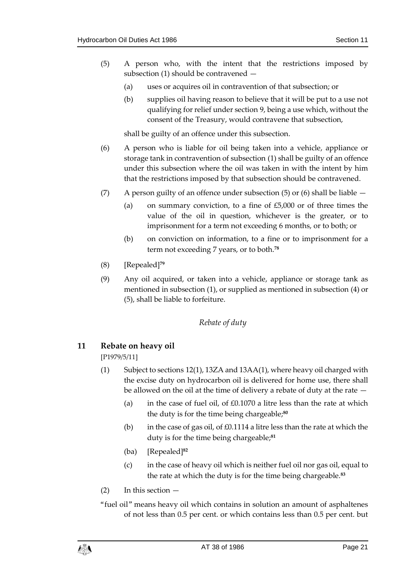- (5) A person who, with the intent that the restrictions imposed by subsection (1) should be contravened —
	- (a) uses or acquires oil in contravention of that subsection; or
	- (b) supplies oil having reason to believe that it will be put to a use not qualifying for relief under section 9, being a use which, without the consent of the Treasury, would contravene that subsection,

shall be guilty of an offence under this subsection.

- (6) A person who is liable for oil being taken into a vehicle, appliance or storage tank in contravention of subsection (1) shall be guilty of an offence under this subsection where the oil was taken in with the intent by him that the restrictions imposed by that subsection should be contravened.
- (7) A person guilty of an offence under subsection (5) or (6) shall be liable  $-$ 
	- (a) on summary conviction, to a fine of £5,000 or of three times the value of the oil in question, whichever is the greater, or to imprisonment for a term not exceeding 6 months, or to both; or
	- (b) on conviction on information, to a fine or to imprisonment for a term not exceeding 7 years, or to both.**<sup>78</sup>**
- (8) [Repealed]**<sup>79</sup>**
- (9) Any oil acquired, or taken into a vehicle, appliance or storage tank as mentioned in subsection (1), or supplied as mentioned in subsection (4) or (5), shall be liable to forfeiture.

# *Rebate of duty*

# <span id="page-20-1"></span><span id="page-20-0"></span>**11 Rebate on heavy oil**

# [P1979/5/11]

- (1) Subject to sections 12(1), 13ZA and 13AA(1), where heavy oil charged with the excise duty on hydrocarbon oil is delivered for home use, there shall be allowed on the oil at the time of delivery a rebate of duty at the rate —
	- (a) in the case of fuel oil, of  $£0.1070$  a litre less than the rate at which the duty is for the time being chargeable;**<sup>80</sup>**
	- (b) in the case of gas oil, of £0.1114 a litre less than the rate at which the duty is for the time being chargeable;**<sup>81</sup>**
	- (ba) [Repealed]**<sup>82</sup>**
	- (c) in the case of heavy oil which is neither fuel oil nor gas oil, equal to the rate at which the duty is for the time being chargeable.**<sup>83</sup>**
- $(2)$  In this section  $-$

"fuel oil" means heavy oil which contains in solution an amount of asphaltenes of not less than 0.5 per cent. or which contains less than 0.5 per cent. but

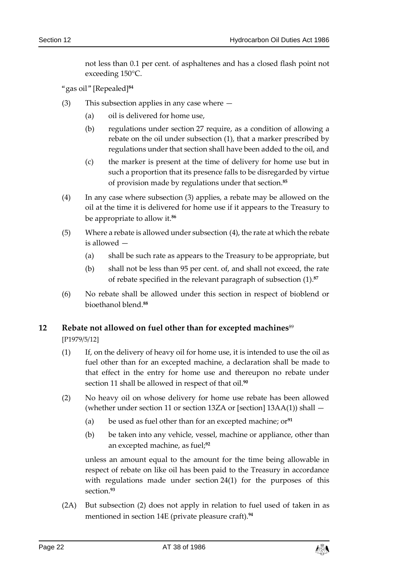not less than 0.1 per cent. of asphaltenes and has a closed flash point not exceeding 150°C.

- "gas oil" [Repealed]**<sup>84</sup>**
- (3) This subsection applies in any case where
	- (a) oil is delivered for home use,
	- (b) regulations under section 27 require, as a condition of allowing a rebate on the oil under subsection (1), that a marker prescribed by regulations under that section shall have been added to the oil, and
	- (c) the marker is present at the time of delivery for home use but in such a proportion that its presence falls to be disregarded by virtue of provision made by regulations under that section.**<sup>85</sup>**
- (4) In any case where subsection (3) applies, a rebate may be allowed on the oil at the time it is delivered for home use if it appears to the Treasury to be appropriate to allow it.**<sup>86</sup>**
- (5) Where a rebate is allowed under subsection (4), the rate at which the rebate is allowed —
	- (a) shall be such rate as appears to the Treasury to be appropriate, but
	- (b) shall not be less than 95 per cent. of, and shall not exceed, the rate of rebate specified in the relevant paragraph of subsection (1).**<sup>87</sup>**
- (6) No rebate shall be allowed under this section in respect of bioblend or bioethanol blend.**<sup>88</sup>**

# <span id="page-21-0"></span>**12 Rebate not allowed on fuel other than for excepted machines**<sup>89</sup>

[P1979/5/12]

- (1) If, on the delivery of heavy oil for home use, it is intended to use the oil as fuel other than for an excepted machine, a declaration shall be made to that effect in the entry for home use and thereupon no rebate under section 11 shall be allowed in respect of that oil.**<sup>90</sup>**
- (2) No heavy oil on whose delivery for home use rebate has been allowed (whether under section 11 or section 13ZA or [section] 13AA(1)) shall —
	- (a) be used as fuel other than for an excepted machine; or**<sup>91</sup>**
	- (b) be taken into any vehicle, vessel, machine or appliance, other than an excepted machine, as fuel;**<sup>92</sup>**

unless an amount equal to the amount for the time being allowable in respect of rebate on like oil has been paid to the Treasury in accordance with regulations made under section 24(1) for the purposes of this section.**<sup>93</sup>**

(2A) But subsection (2) does not apply in relation to fuel used of taken in as mentioned in section 14E (private pleasure craft).**<sup>94</sup>**

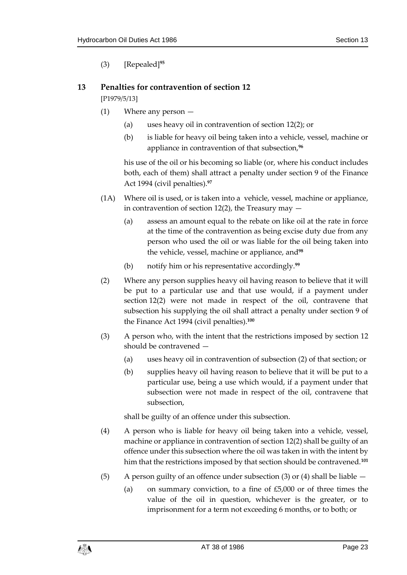(3) [Repealed]**<sup>95</sup>**

# <span id="page-22-0"></span>**13 Penalties for contravention of section 12**

[P1979/5/13]

- (1) Where any person
	- (a) uses heavy oil in contravention of section 12(2); or
	- (b) is liable for heavy oil being taken into a vehicle, vessel, machine or appliance in contravention of that subsection,**<sup>96</sup>**

his use of the oil or his becoming so liable (or, where his conduct includes both, each of them) shall attract a penalty under section 9 of the Finance Act 1994 (civil penalties).**<sup>97</sup>**

- (1A) Where oil is used, or is taken into a vehicle, vessel, machine or appliance, in contravention of section 12(2), the Treasury may  $-$ 
	- (a) assess an amount equal to the rebate on like oil at the rate in force at the time of the contravention as being excise duty due from any person who used the oil or was liable for the oil being taken into the vehicle, vessel, machine or appliance, and**<sup>98</sup>**
	- (b) notify him or his representative accordingly.**<sup>99</sup>**
- (2) Where any person supplies heavy oil having reason to believe that it will be put to a particular use and that use would, if a payment under section 12(2) were not made in respect of the oil, contravene that subsection his supplying the oil shall attract a penalty under section 9 of the Finance Act 1994 (civil penalties).**<sup>100</sup>**
- (3) A person who, with the intent that the restrictions imposed by section 12 should be contravened —
	- (a) uses heavy oil in contravention of subsection (2) of that section; or
	- (b) supplies heavy oil having reason to believe that it will be put to a particular use, being a use which would, if a payment under that subsection were not made in respect of the oil, contravene that subsection,

shall be guilty of an offence under this subsection.

- (4) A person who is liable for heavy oil being taken into a vehicle, vessel, machine or appliance in contravention of section 12(2) shall be guilty of an offence under this subsection where the oil was taken in with the intent by him that the restrictions imposed by that section should be contravened.**<sup>101</sup>**
- (5) A person guilty of an offence under subsection (3) or (4) shall be liable
	- (a) on summary conviction, to a fine of £5,000 or of three times the value of the oil in question, whichever is the greater, or to imprisonment for a term not exceeding 6 months, or to both; or

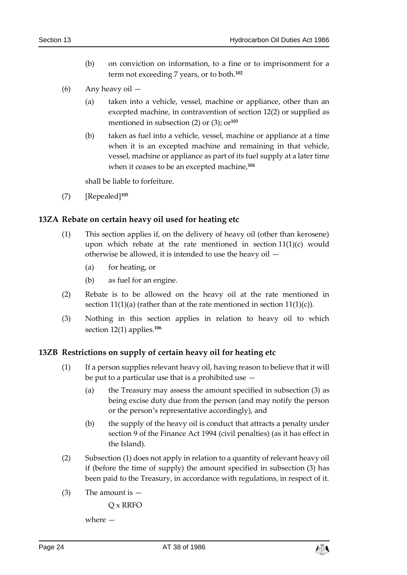- (b) on conviction on information, to a fine or to imprisonment for a term not exceeding 7 years, or to both.**<sup>102</sup>**
- (6) Any heavy oil
	- (a) taken into a vehicle, vessel, machine or appliance, other than an excepted machine, in contravention of section 12(2) or supplied as mentioned in subsection (2) or (3); or**<sup>103</sup>**
	- (b) taken as fuel into a vehicle, vessel, machine or appliance at a time when it is an excepted machine and remaining in that vehicle, vessel, machine or appliance as part of its fuel supply at a later time when it ceases to be an excepted machine, **104**

shall be liable to forfeiture.

(7) [Repealed]**<sup>105</sup>**

#### <span id="page-23-0"></span>**13ZA Rebate on certain heavy oil used for heating etc**

- (1) This section applies if, on the delivery of heavy oil (other than kerosene) upon which rebate at the rate mentioned in section 11(1)(c) would otherwise be allowed, it is intended to use the heavy oil —
	- (a) for heating, or
	- (b) as fuel for an engine.
- (2) Rebate is to be allowed on the heavy oil at the rate mentioned in section  $11(1)(a)$  (rather than at the rate mentioned in section  $11(1)(c)$ ).
- (3) Nothing in this section applies in relation to heavy oil to which section 12(1) applies.**<sup>106</sup>**

#### <span id="page-23-1"></span>**13ZB Restrictions on supply of certain heavy oil for heating etc**

- (1) If a person supplies relevant heavy oil, having reason to believe that it will be put to a particular use that is a prohibited use —
	- (a) the Treasury may assess the amount specified in subsection (3) as being excise duty due from the person (and may notify the person or the person's representative accordingly), and
	- (b) the supply of the heavy oil is conduct that attracts a penalty under section 9 of the Finance Act 1994 (civil penalties) (as it has effect in the Island).
- (2) Subsection (1) does not apply in relation to a quantity of relevant heavy oil if (before the time of supply) the amount specified in subsection (3) has been paid to the Treasury, in accordance with regulations, in respect of it.
- (3) The amount is  $-$

Q x RRFO

where —

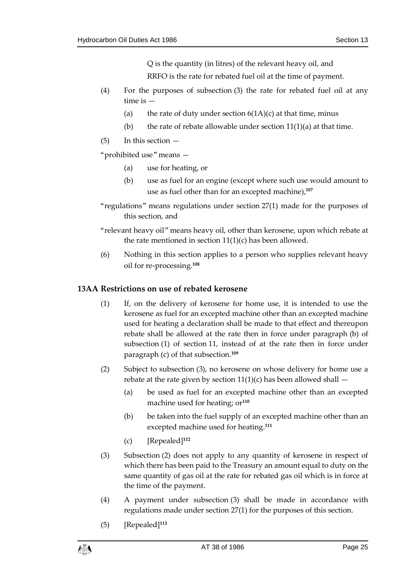Q is the quantity (in litres) of the relevant heavy oil, and RRFO is the rate for rebated fuel oil at the time of payment.

- (4) For the purposes of subsection (3) the rate for rebated fuel oil at any time is —
	- (a) the rate of duty under section  $6(1A)(c)$  at that time, minus
	- (b) the rate of rebate allowable under section  $11(1)(a)$  at that time.
- $(5)$  In this section  $-$

"prohibited use" means —

- (a) use for heating, or
- (b) use as fuel for an engine (except where such use would amount to use as fuel other than for an excepted machine),**<sup>107</sup>**
- "regulations" means regulations under section 27(1) made for the purposes of this section, and
- "relevant heavy oil" means heavy oil, other than kerosene, upon which rebate at the rate mentioned in section  $11(1)(c)$  has been allowed.
- (6) Nothing in this section applies to a person who supplies relevant heavy oil for re-processing.**<sup>108</sup>**

#### <span id="page-24-0"></span>**13AA Restrictions on use of rebated kerosene**

- (1) If, on the delivery of kerosene for home use, it is intended to use the kerosene as fuel for an excepted machine other than an excepted machine used for heating a declaration shall be made to that effect and thereupon rebate shall be allowed at the rate then in force under paragraph (b) of subsection (1) of section 11, instead of at the rate then in force under paragraph (c) of that subsection.**<sup>109</sup>**
- (2) Subject to subsection (3), no kerosene on whose delivery for home use a rebate at the rate given by section  $11(1)(c)$  has been allowed shall  $-$ 
	- (a) be used as fuel for an excepted machine other than an excepted machine used for heating; or**<sup>110</sup>**
	- (b) be taken into the fuel supply of an excepted machine other than an excepted machine used for heating.**<sup>111</sup>**
	- (c) [Repealed]**<sup>112</sup>**
- (3) Subsection (2) does not apply to any quantity of kerosene in respect of which there has been paid to the Treasury an amount equal to duty on the same quantity of gas oil at the rate for rebated gas oil which is in force at the time of the payment.
- (4) A payment under subsection (3) shall be made in accordance with regulations made under section 27(1) for the purposes of this section.
- (5) [Repealed]**<sup>113</sup>**

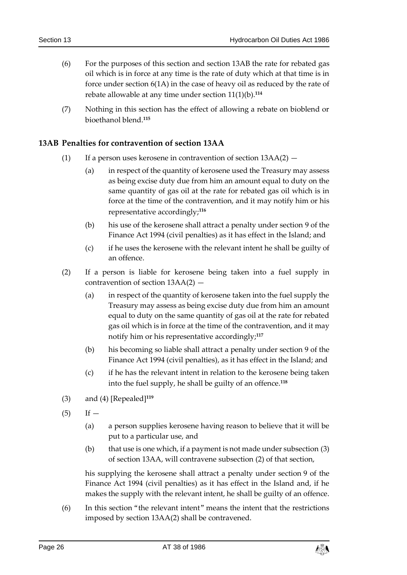- (6) For the purposes of this section and section 13AB the rate for rebated gas oil which is in force at any time is the rate of duty which at that time is in force under section 6(1A) in the case of heavy oil as reduced by the rate of rebate allowable at any time under section 11(1)(b).**<sup>114</sup>**
- (7) Nothing in this section has the effect of allowing a rebate on bioblend or bioethanol blend.**<sup>115</sup>**

# <span id="page-25-0"></span>**13AB Penalties for contravention of section 13AA**

- (1) If a person uses kerosene in contravention of section  $13AA(2)$ 
	- (a) in respect of the quantity of kerosene used the Treasury may assess as being excise duty due from him an amount equal to duty on the same quantity of gas oil at the rate for rebated gas oil which is in force at the time of the contravention, and it may notify him or his representative accordingly;**<sup>116</sup>**
	- (b) his use of the kerosene shall attract a penalty under section 9 of the Finance Act 1994 (civil penalties) as it has effect in the Island; and
	- (c) if he uses the kerosene with the relevant intent he shall be guilty of an offence.
- (2) If a person is liable for kerosene being taken into a fuel supply in contravention of section 13AA(2) —
	- (a) in respect of the quantity of kerosene taken into the fuel supply the Treasury may assess as being excise duty due from him an amount equal to duty on the same quantity of gas oil at the rate for rebated gas oil which is in force at the time of the contravention, and it may notify him or his representative accordingly;**<sup>117</sup>**
	- (b) his becoming so liable shall attract a penalty under section 9 of the Finance Act 1994 (civil penalties), as it has effect in the Island; and
	- (c) if he has the relevant intent in relation to the kerosene being taken into the fuel supply, he shall be guilty of an offence.**<sup>118</sup>**
- (3) and (4) [Repealed]**<sup>119</sup>**
- $(5)$  If  $-$ 
	- (a) a person supplies kerosene having reason to believe that it will be put to a particular use, and
	- (b) that use is one which, if a payment is not made under subsection (3) of section 13AA, will contravene subsection (2) of that section,

his supplying the kerosene shall attract a penalty under section 9 of the Finance Act 1994 (civil penalties) as it has effect in the Island and, if he makes the supply with the relevant intent, he shall be guilty of an offence.

(6) In this section "the relevant intent" means the intent that the restrictions imposed by section 13AA(2) shall be contravened.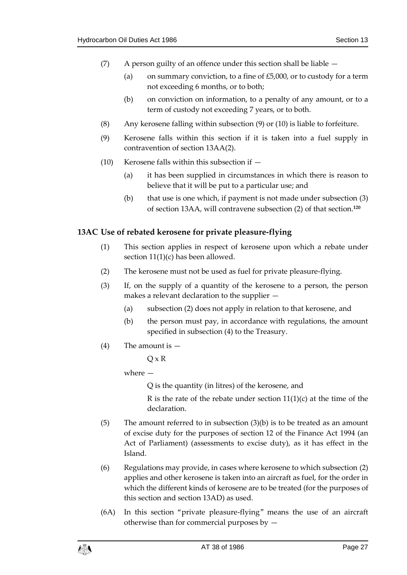- (7) A person guilty of an offence under this section shall be liable
	- (a) on summary conviction, to a fine of  $£5,000$ , or to custody for a term not exceeding 6 months, or to both;
	- (b) on conviction on information, to a penalty of any amount, or to a term of custody not exceeding 7 years, or to both.
- (8) Any kerosene falling within subsection (9) or (10) is liable to forfeiture.
- (9) Kerosene falls within this section if it is taken into a fuel supply in contravention of section 13AA(2).
- $(10)$  Kerosene falls within this subsection if  $-$ 
	- (a) it has been supplied in circumstances in which there is reason to believe that it will be put to a particular use; and
	- (b) that use is one which, if payment is not made under subsection (3) of section 13AA, will contravene subsection (2) of that section.**<sup>120</sup>**

# <span id="page-26-0"></span>**13AC Use of rebated kerosene for private pleasure-flying**

- (1) This section applies in respect of kerosene upon which a rebate under section 11(1)(c) has been allowed.
- (2) The kerosene must not be used as fuel for private pleasure-flying.
- (3) If, on the supply of a quantity of the kerosene to a person, the person makes a relevant declaration to the supplier —
	- (a) subsection (2) does not apply in relation to that kerosene, and
	- (b) the person must pay, in accordance with regulations, the amount specified in subsection (4) to the Treasury.
- (4) The amount is —

 $Q \times R$ 

where —

Q is the quantity (in litres) of the kerosene, and

R is the rate of the rebate under section  $11(1)(c)$  at the time of the declaration.

- (5) The amount referred to in subsection (3)(b) is to be treated as an amount of excise duty for the purposes of section 12 of the Finance Act 1994 (an Act of Parliament) (assessments to excise duty), as it has effect in the Island.
- (6) Regulations may provide, in cases where kerosene to which subsection (2) applies and other kerosene is taken into an aircraft as fuel, for the order in which the different kinds of kerosene are to be treated (for the purposes of this section and section 13AD) as used.
- (6A) In this section "private pleasure-flying" means the use of an aircraft otherwise than for commercial purposes by —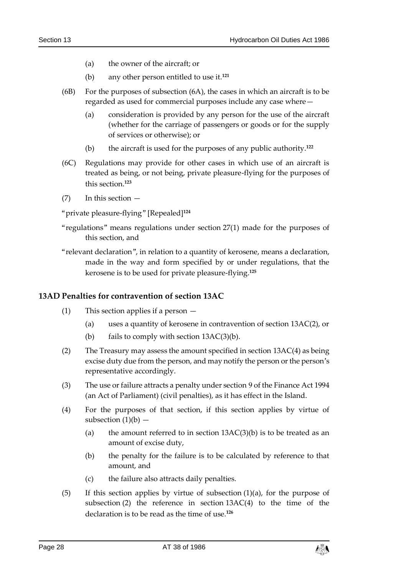- (a) the owner of the aircraft; or
- (b) any other person entitled to use it.**<sup>121</sup>**
- (6B) For the purposes of subsection (6A), the cases in which an aircraft is to be regarded as used for commercial purposes include any case where—
	- (a) consideration is provided by any person for the use of the aircraft (whether for the carriage of passengers or goods or for the supply of services or otherwise); or
	- (b) the aircraft is used for the purposes of any public authority.**<sup>122</sup>**
- (6C) Regulations may provide for other cases in which use of an aircraft is treated as being, or not being, private pleasure-flying for the purposes of this section.**<sup>123</sup>**
- (7) In this section —
- "private pleasure-flying" [Repealed]**<sup>124</sup>**
- "regulations" means regulations under section 27(1) made for the purposes of this section, and
- "relevant declaration", in relation to a quantity of kerosene, means a declaration, made in the way and form specified by or under regulations, that the kerosene is to be used for private pleasure-flying.**<sup>125</sup>**

#### <span id="page-27-0"></span>**13AD Penalties for contravention of section 13AC**

- (1) This section applies if a person
	- (a) uses a quantity of kerosene in contravention of section 13AC(2), or
	- (b) fails to comply with section  $13AC(3)(b)$ .
- (2) The Treasury may assess the amount specified in section 13AC(4) as being excise duty due from the person, and may notify the person or the person's representative accordingly.
- (3) The use or failure attracts a penalty under section 9 of the Finance Act 1994 (an Act of Parliament) (civil penalties), as it has effect in the Island.
- (4) For the purposes of that section, if this section applies by virtue of subsection  $(1)(b)$  —
	- (a) the amount referred to in section  $13AC(3)(b)$  is to be treated as an amount of excise duty,
	- (b) the penalty for the failure is to be calculated by reference to that amount, and
	- (c) the failure also attracts daily penalties.
- (5) If this section applies by virtue of subsection  $(1)(a)$ , for the purpose of subsection (2) the reference in section 13AC(4) to the time of the declaration is to be read as the time of use.**126**

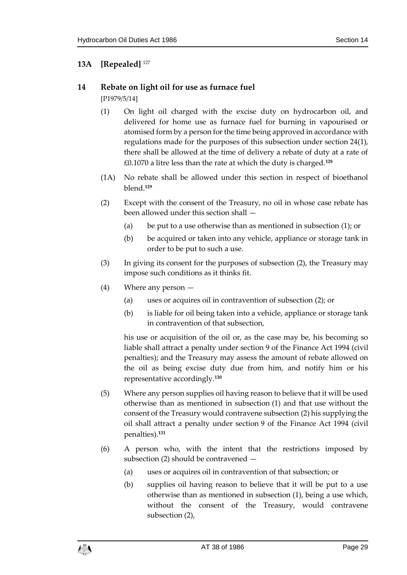# <span id="page-28-0"></span>**13A [Repealed]** <sup>127</sup>

# <span id="page-28-1"></span>**14 Rebate on light oil for use as furnace fuel**

[P1979/5/14]

- (1) On light oil charged with the excise duty on hydrocarbon oil, and delivered for home use as furnace fuel for burning in vapourised or atomised form by a person for the time being approved in accordance with regulations made for the purposes of this subsection under section 24(1), there shall be allowed at the time of delivery a rebate of duty at a rate of £0.1070 a litre less than the rate at which the duty is charged.**<sup>128</sup>**
- (1A) No rebate shall be allowed under this section in respect of bioethanol blend.**<sup>129</sup>**
- (2) Except with the consent of the Treasury, no oil in whose case rebate has been allowed under this section shall —
	- (a) be put to a use otherwise than as mentioned in subsection (1); or
	- (b) be acquired or taken into any vehicle, appliance or storage tank in order to be put to such a use.
- (3) In giving its consent for the purposes of subsection (2), the Treasury may impose such conditions as it thinks fit.
- (4) Where any person
	- (a) uses or acquires oil in contravention of subsection (2); or
	- (b) is liable for oil being taken into a vehicle, appliance or storage tank in contravention of that subsection,

his use or acquisition of the oil or, as the case may be, his becoming so liable shall attract a penalty under section 9 of the Finance Act 1994 (civil penalties); and the Treasury may assess the amount of rebate allowed on the oil as being excise duty due from him, and notify him or his representative accordingly.**<sup>130</sup>**

- (5) Where any person supplies oil having reason to believe that it will be used otherwise than as mentioned in subsection (1) and that use without the consent of the Treasury would contravene subsection (2) his supplying the oil shall attract a penalty under section 9 of the Finance Act 1994 (civil penalties).**<sup>131</sup>**
- (6) A person who, with the intent that the restrictions imposed by subsection (2) should be contravened —
	- (a) uses or acquires oil in contravention of that subsection; or
	- (b) supplies oil having reason to believe that it will be put to a use otherwise than as mentioned in subsection (1), being a use which, without the consent of the Treasury, would contravene subsection (2),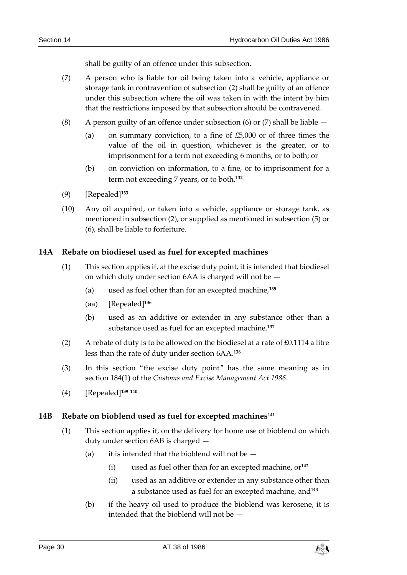shall be guilty of an offence under this subsection.

- (7) A person who is liable for oil being taken into a vehicle, appliance or storage tank in contravention of subsection (2) shall be guilty of an offence under this subsection where the oil was taken in with the intent by him that the restrictions imposed by that subsection should be contravened.
- (8) A person guilty of an offence under subsection (6) or (7) shall be liable  $-$ 
	- (a) on summary conviction, to a fine of  $£5,000$  or of three times the value of the oil in question, whichever is the greater, or to imprisonment for a term not exceeding 6 months, or to both; or
	- (b) on conviction on information, to a fine, or to imprisonment for a term not exceeding 7 years, or to both.**<sup>132</sup>**
- (9) [Repealed]**<sup>133</sup>**
- (10) Any oil acquired, or taken into a vehicle, appliance or storage tank, as mentioned in subsection (2), or supplied as mentioned in subsection (5) or (6), shall be liable to forfeiture.

#### <span id="page-29-0"></span>**14A Rebate on biodiesel used as fuel for excepted machines**

- (1) This section applies if, at the excise duty point, it is intended that biodiesel on which duty under section 6AA is charged will not be —
	- (a) used as fuel other than for an excepted machine, **135**
	- (aa) [Repealed]**<sup>136</sup>**
	- (b) used as an additive or extender in any substance other than a substance used as fuel for an excepted machine. **137**
- (2) A rebate of duty is to be allowed on the biodiesel at a rate of  $\text{\pounds}0.1114$  a litre less than the rate of duty under section 6AA.**<sup>138</sup>**
- (3) In this section "the excise duty point" has the same meaning as in section 184(1) of the *Customs and Excise Management Act 1986*.
- (4) [Repealed]**<sup>139</sup> <sup>140</sup>**

#### <span id="page-29-1"></span>**14B Rebate on bioblend used as fuel for excepted machines**<sup>141</sup>

- (1) This section applies if, on the delivery for home use of bioblend on which duty under section 6AB is charged —
	- (a) it is intended that the bioblend will not be  $-$ 
		- (i) used as fuel other than for an excepted machine, or**<sup>142</sup>**
		- (ii) used as an additive or extender in any substance other than a substance used as fuel for an excepted machine, and**<sup>143</sup>**
	- (b) if the heavy oil used to produce the bioblend was kerosene, it is intended that the bioblend will not be —

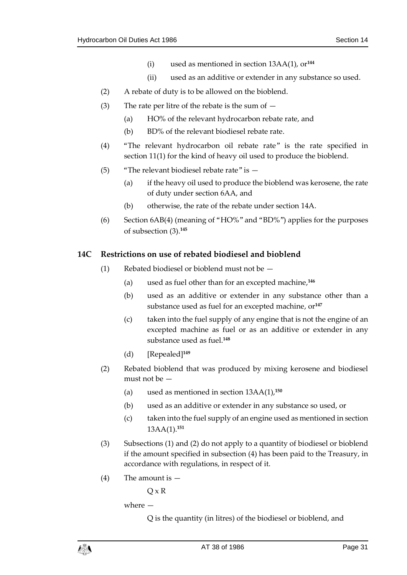- (i) used as mentioned in section 13AA(1), or**<sup>144</sup>**
- (ii) used as an additive or extender in any substance so used.
- (2) A rebate of duty is to be allowed on the bioblend.
- (3) The rate per litre of the rebate is the sum of  $-$ 
	- (a) HO% of the relevant hydrocarbon rebate rate, and
	- (b) BD% of the relevant biodiesel rebate rate.
- (4) "The relevant hydrocarbon oil rebate rate" is the rate specified in section 11(1) for the kind of heavy oil used to produce the bioblend.
- (5) "The relevant biodiesel rebate rate" is  $-$ 
	- (a) if the heavy oil used to produce the bioblend was kerosene, the rate of duty under section 6AA, and
	- (b) otherwise, the rate of the rebate under section 14A.
- (6) Section 6AB(4) (meaning of "HO%" and "BD%") applies for the purposes of subsection (3).**<sup>145</sup>**

#### <span id="page-30-0"></span>**14C Restrictions on use of rebated biodiesel and bioblend**

- (1) Rebated biodiesel or bioblend must not be
	- (a) used as fuel other than for an excepted machine, **146**
	- (b) used as an additive or extender in any substance other than a substance used as fuel for an excepted machine, or**<sup>147</sup>**
	- (c) taken into the fuel supply of any engine that is not the engine of an excepted machine as fuel or as an additive or extender in any substance used as fuel.**<sup>148</sup>**
	- (d) [Repealed]**<sup>149</sup>**
- (2) Rebated bioblend that was produced by mixing kerosene and biodiesel must not be —
	- (a) used as mentioned in section 13AA(1),**<sup>150</sup>**
	- (b) used as an additive or extender in any substance so used, or
	- (c) taken into the fuel supply of an engine used as mentioned in section 13AA(1). **151**
- (3) Subsections (1) and (2) do not apply to a quantity of biodiesel or bioblend if the amount specified in subsection (4) has been paid to the Treasury, in accordance with regulations, in respect of it.
- (4) The amount is —

 $Q \times R$ 

where —

Q is the quantity (in litres) of the biodiesel or bioblend, and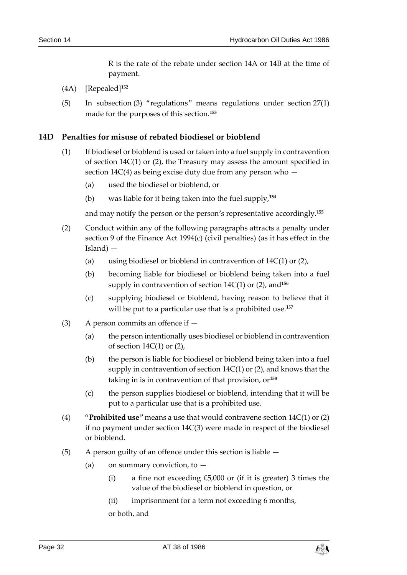R is the rate of the rebate under section 14A or 14B at the time of payment.

- (4A) [Repealed]**<sup>152</sup>**
- (5) In subsection (3) "regulations" means regulations under section 27(1) made for the purposes of this section.**<sup>153</sup>**

### <span id="page-31-0"></span>**14D Penalties for misuse of rebated biodiesel or bioblend**

- (1) If biodiesel or bioblend is used or taken into a fuel supply in contravention of section 14C(1) or (2), the Treasury may assess the amount specified in section 14C(4) as being excise duty due from any person who —
	- (a) used the biodiesel or bioblend, or
	- (b) was liable for it being taken into the fuel supply, **154**

and may notify the person or the person's representative accordingly.**<sup>155</sup>**

- (2) Conduct within any of the following paragraphs attracts a penalty under section 9 of the Finance Act 1994(c) (civil penalties) (as it has effect in the Island) —
	- (a) using biodiesel or bioblend in contravention of 14C(1) or (2),
	- (b) becoming liable for biodiesel or bioblend being taken into a fuel supply in contravention of section 14C(1) or (2), and**<sup>156</sup>**
	- (c) supplying biodiesel or bioblend, having reason to believe that it will be put to a particular use that is a prohibited use.**<sup>157</sup>**
- (3) A person commits an offence if  $-$ 
	- (a) the person intentionally uses biodiesel or bioblend in contravention of section  $14C(1)$  or  $(2)$ ,
	- (b) the person is liable for biodiesel or bioblend being taken into a fuel supply in contravention of section 14C(1) or (2), and knows that the taking in is in contravention of that provision, or**<sup>158</sup>**
	- (c) the person supplies biodiesel or bioblend, intending that it will be put to a particular use that is a prohibited use.
- (4) "**Prohibited use**" means a use that would contravene section 14C(1) or (2) if no payment under section 14C(3) were made in respect of the biodiesel or bioblend.
- (5) A person guilty of an offence under this section is liable
	- (a) on summary conviction, to  $-$ 
		- (i) a fine not exceeding £5,000 or (if it is greater) 3 times the value of the biodiesel or bioblend in question, or
		- (ii) imprisonment for a term not exceeding 6 months,

or both, and

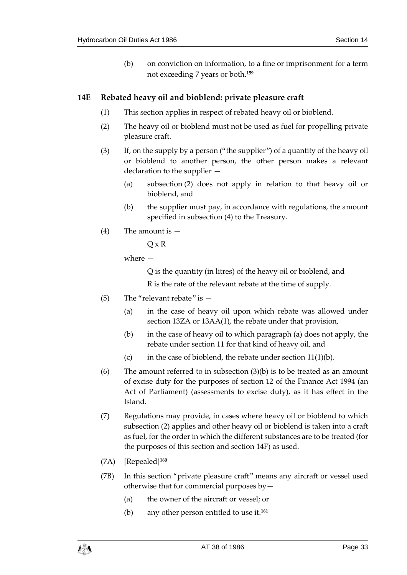(b) on conviction on information, to a fine or imprisonment for a term not exceeding 7 years or both.**<sup>159</sup>**

### <span id="page-32-0"></span>**14E Rebated heavy oil and bioblend: private pleasure craft**

- (1) This section applies in respect of rebated heavy oil or bioblend.
- (2) The heavy oil or bioblend must not be used as fuel for propelling private pleasure craft.
- (3) If, on the supply by a person ("the supplier") of a quantity of the heavy oil or bioblend to another person, the other person makes a relevant declaration to the supplier —
	- (a) subsection (2) does not apply in relation to that heavy oil or bioblend, and
	- (b) the supplier must pay, in accordance with regulations, the amount specified in subsection (4) to the Treasury.
- (4) The amount is —

Q x R

where —

Q is the quantity (in litres) of the heavy oil or bioblend, and

R is the rate of the relevant rebate at the time of supply.

- (5) The "relevant rebate" is  $-$ 
	- (a) in the case of heavy oil upon which rebate was allowed under section 13ZA or 13AA(1), the rebate under that provision,
	- (b) in the case of heavy oil to which paragraph (a) does not apply, the rebate under section 11 for that kind of heavy oil, and
	- (c) in the case of bioblend, the rebate under section  $11(1)(b)$ .
- (6) The amount referred to in subsection  $(3)(b)$  is to be treated as an amount of excise duty for the purposes of section 12 of the Finance Act 1994 (an Act of Parliament) (assessments to excise duty), as it has effect in the Island.
- (7) Regulations may provide, in cases where heavy oil or bioblend to which subsection (2) applies and other heavy oil or bioblend is taken into a craft as fuel, for the order in which the different substances are to be treated (for the purposes of this section and section 14F) as used.
- (7A) [Repealed]**<sup>160</sup>**
- (7B) In this section "private pleasure craft" means any aircraft or vessel used otherwise that for commercial purposes by—
	- (a) the owner of the aircraft or vessel; or
	- (b) any other person entitled to use it.**<sup>161</sup>**

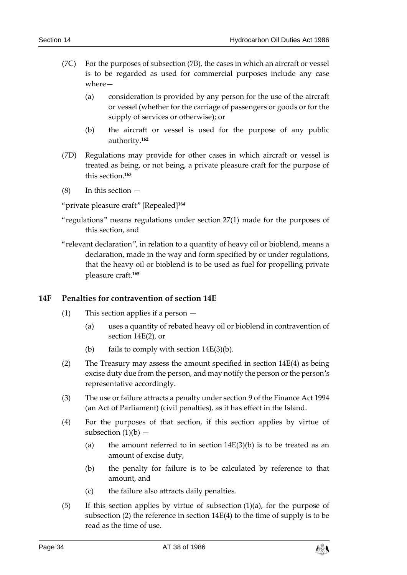- (7C) For the purposes of subsection (7B), the cases in which an aircraft or vessel is to be regarded as used for commercial purposes include any case where—
	- (a) consideration is provided by any person for the use of the aircraft or vessel (whether for the carriage of passengers or goods or for the supply of services or otherwise); or
	- (b) the aircraft or vessel is used for the purpose of any public authority.**<sup>162</sup>**
- (7D) Regulations may provide for other cases in which aircraft or vessel is treated as being, or not being, a private pleasure craft for the purpose of this section.**<sup>163</sup>**
- $(8)$  In this section  $-$
- "private pleasure craft" [Repealed]**<sup>164</sup>**
- "regulations" means regulations under section 27(1) made for the purposes of this section, and
- "relevant declaration", in relation to a quantity of heavy oil or bioblend, means a declaration, made in the way and form specified by or under regulations, that the heavy oil or bioblend is to be used as fuel for propelling private pleasure craft.**<sup>165</sup>**

#### <span id="page-33-0"></span>**14F Penalties for contravention of section 14E**

- (1) This section applies if a person
	- (a) uses a quantity of rebated heavy oil or bioblend in contravention of section 14E(2), or
	- (b) fails to comply with section  $14E(3)(b)$ .
- (2) The Treasury may assess the amount specified in section 14E(4) as being excise duty due from the person, and may notify the person or the person's representative accordingly.
- (3) The use or failure attracts a penalty under section 9 of the Finance Act 1994 (an Act of Parliament) (civil penalties), as it has effect in the Island.
- (4) For the purposes of that section, if this section applies by virtue of subsection  $(1)(b)$  –
	- (a) the amount referred to in section  $14E(3)(b)$  is to be treated as an amount of excise duty,
	- (b) the penalty for failure is to be calculated by reference to that amount, and
	- (c) the failure also attracts daily penalties.
- (5) If this section applies by virtue of subsection  $(1)(a)$ , for the purpose of subsection (2) the reference in section 14E(4) to the time of supply is to be read as the time of use.

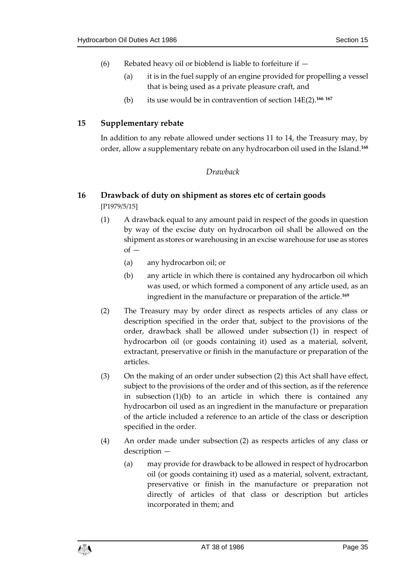- (6) Rebated heavy oil or bioblend is liable to forfeiture if
	- (a) it is in the fuel supply of an engine provided for propelling a vessel that is being used as a private pleasure craft, and
	- (b) its use would be in contravention of section 14E(2).**<sup>166</sup> <sup>167</sup>**

#### <span id="page-34-0"></span>**15 Supplementary rebate**

<span id="page-34-1"></span>In addition to any rebate allowed under sections 11 to 14, the Treasury may, by order, allow a supplementary rebate on any hydrocarbon oil used in the Island.**<sup>168</sup>**

#### *Drawback*

# <span id="page-34-2"></span>**16 Drawback of duty on shipment as stores etc of certain goods** [P1979/5/15]

- (1) A drawback equal to any amount paid in respect of the goods in question by way of the excise duty on hydrocarbon oil shall be allowed on the shipment as stores or warehousing in an excise warehouse for use as stores  $of -$ 
	- (a) any hydrocarbon oil; or
	- (b) any article in which there is contained any hydrocarbon oil which was used, or which formed a component of any article used, as an ingredient in the manufacture or preparation of the article.**<sup>169</sup>**
- (2) The Treasury may by order direct as respects articles of any class or description specified in the order that, subject to the provisions of the order, drawback shall be allowed under subsection (1) in respect of hydrocarbon oil (or goods containing it) used as a material, solvent, extractant, preservative or finish in the manufacture or preparation of the articles.
- (3) On the making of an order under subsection (2) this Act shall have effect, subject to the provisions of the order and of this section, as if the reference in subsection  $(1)(b)$  to an article in which there is contained any hydrocarbon oil used as an ingredient in the manufacture or preparation of the article included a reference to an article of the class or description specified in the order.
- (4) An order made under subsection (2) as respects articles of any class or description —
	- (a) may provide for drawback to be allowed in respect of hydrocarbon oil (or goods containing it) used as a material, solvent, extractant, preservative or finish in the manufacture or preparation not directly of articles of that class or description but articles incorporated in them; and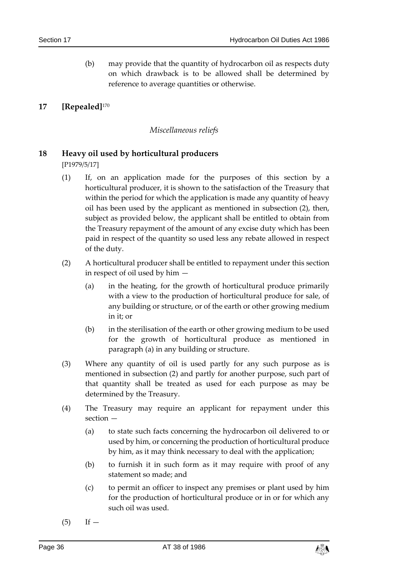(b) may provide that the quantity of hydrocarbon oil as respects duty on which drawback is to be allowed shall be determined by reference to average quantities or otherwise.

# <span id="page-35-1"></span><span id="page-35-0"></span>**17 [Repealed]**<sup>170</sup>

#### *Miscellaneous reliefs*

# <span id="page-35-2"></span>**18 Heavy oil used by horticultural producers**

[P1979/5/17]

- (1) If, on an application made for the purposes of this section by a horticultural producer, it is shown to the satisfaction of the Treasury that within the period for which the application is made any quantity of heavy oil has been used by the applicant as mentioned in subsection (2), then, subject as provided below, the applicant shall be entitled to obtain from the Treasury repayment of the amount of any excise duty which has been paid in respect of the quantity so used less any rebate allowed in respect of the duty.
- (2) A horticultural producer shall be entitled to repayment under this section in respect of oil used by him —
	- (a) in the heating, for the growth of horticultural produce primarily with a view to the production of horticultural produce for sale, of any building or structure, or of the earth or other growing medium in it; or
	- (b) in the sterilisation of the earth or other growing medium to be used for the growth of horticultural produce as mentioned in paragraph (a) in any building or structure.
- (3) Where any quantity of oil is used partly for any such purpose as is mentioned in subsection (2) and partly for another purpose, such part of that quantity shall be treated as used for each purpose as may be determined by the Treasury.
- (4) The Treasury may require an applicant for repayment under this section —
	- (a) to state such facts concerning the hydrocarbon oil delivered to or used by him, or concerning the production of horticultural produce by him, as it may think necessary to deal with the application;
	- (b) to furnish it in such form as it may require with proof of any statement so made; and
	- (c) to permit an officer to inspect any premises or plant used by him for the production of horticultural produce or in or for which any such oil was used.
- $(5)$  If  $-$

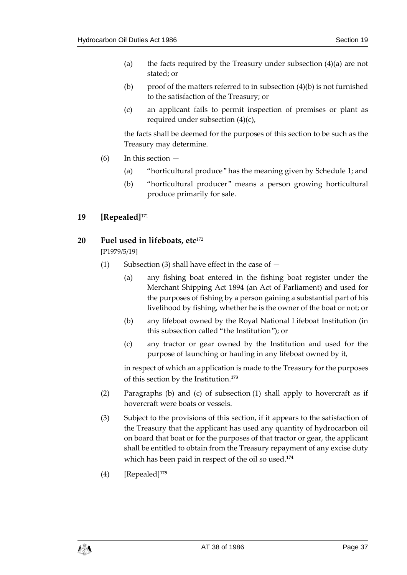- (a) the facts required by the Treasury under subsection  $(4)(a)$  are not stated; or
- (b) proof of the matters referred to in subsection  $(4)(b)$  is not furnished to the satisfaction of the Treasury; or
- (c) an applicant fails to permit inspection of premises or plant as required under subsection (4)(c),

the facts shall be deemed for the purposes of this section to be such as the Treasury may determine.

- $(6)$  In this section  $-$ 
	- (a) "horticultural produce" has the meaning given by Schedule 1; and
	- (b) "horticultural producer" means a person growing horticultural produce primarily for sale.

## **19 [Repealed]**<sup>171</sup>

#### **20 Fuel used in lifeboats, etc**<sup>172</sup>

[P1979/5/19]

- (1) Subsection (3) shall have effect in the case of  $-$ 
	- (a) any fishing boat entered in the fishing boat register under the Merchant Shipping Act 1894 (an Act of Parliament) and used for the purposes of fishing by a person gaining a substantial part of his livelihood by fishing, whether he is the owner of the boat or not; or
	- (b) any lifeboat owned by the Royal National Lifeboat Institution (in this subsection called "the Institution"); or
	- (c) any tractor or gear owned by the Institution and used for the purpose of launching or hauling in any lifeboat owned by it,

in respect of which an application is made to the Treasury for the purposes of this section by the Institution.**<sup>173</sup>**

- (2) Paragraphs (b) and (c) of subsection (1) shall apply to hovercraft as if hovercraft were boats or vessels.
- (3) Subject to the provisions of this section, if it appears to the satisfaction of the Treasury that the applicant has used any quantity of hydrocarbon oil on board that boat or for the purposes of that tractor or gear, the applicant shall be entitled to obtain from the Treasury repayment of any excise duty which has been paid in respect of the oil so used. **174**
- (4) [Repealed]**<sup>175</sup>**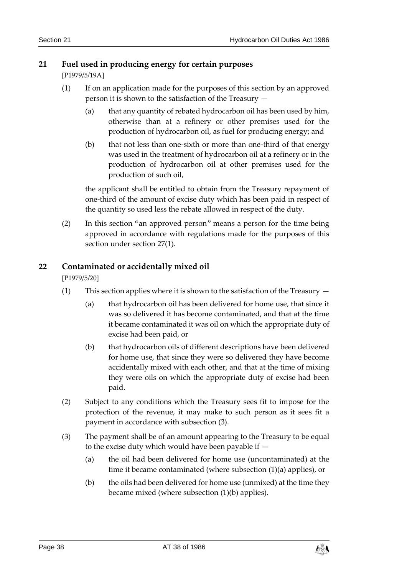## **21 Fuel used in producing energy for certain purposes**

[P1979/5/19A]

- (1) If on an application made for the purposes of this section by an approved person it is shown to the satisfaction of the Treasury —
	- (a) that any quantity of rebated hydrocarbon oil has been used by him, otherwise than at a refinery or other premises used for the production of hydrocarbon oil, as fuel for producing energy; and
	- (b) that not less than one-sixth or more than one-third of that energy was used in the treatment of hydrocarbon oil at a refinery or in the production of hydrocarbon oil at other premises used for the production of such oil,

the applicant shall be entitled to obtain from the Treasury repayment of one-third of the amount of excise duty which has been paid in respect of the quantity so used less the rebate allowed in respect of the duty.

(2) In this section "an approved person" means a person for the time being approved in accordance with regulations made for the purposes of this section under section 27(1).

## **22 Contaminated or accidentally mixed oil**

[P1979/5/20]

- (1) This section applies where it is shown to the satisfaction of the Treasury  $-$ 
	- (a) that hydrocarbon oil has been delivered for home use, that since it was so delivered it has become contaminated, and that at the time it became contaminated it was oil on which the appropriate duty of excise had been paid, or
	- (b) that hydrocarbon oils of different descriptions have been delivered for home use, that since they were so delivered they have become accidentally mixed with each other, and that at the time of mixing they were oils on which the appropriate duty of excise had been paid.
- (2) Subject to any conditions which the Treasury sees fit to impose for the protection of the revenue, it may make to such person as it sees fit a payment in accordance with subsection (3).
- (3) The payment shall be of an amount appearing to the Treasury to be equal to the excise duty which would have been payable if  $-$ 
	- (a) the oil had been delivered for home use (uncontaminated) at the time it became contaminated (where subsection (1)(a) applies), or
	- (b) the oils had been delivered for home use (unmixed) at the time they became mixed (where subsection (1)(b) applies).

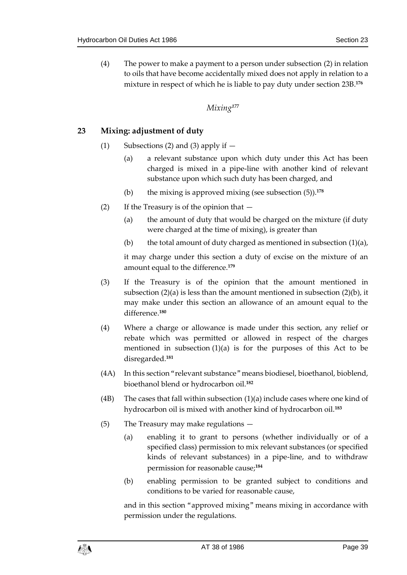(4) The power to make a payment to a person under subsection (2) in relation to oils that have become accidentally mixed does not apply in relation to a mixture in respect of which he is liable to pay duty under section 23B.**<sup>176</sup>**

## *Mixing<sup>177</sup>*

## **23 Mixing: adjustment of duty**

- (1) Subsections (2) and (3) apply if  $-$ 
	- (a) a relevant substance upon which duty under this Act has been charged is mixed in a pipe-line with another kind of relevant substance upon which such duty has been charged, and
	- (b) the mixing is approved mixing (see subsection (5)).**<sup>178</sup>**
- (2) If the Treasury is of the opinion that
	- (a) the amount of duty that would be charged on the mixture (if duty were charged at the time of mixing), is greater than
	- (b) the total amount of duty charged as mentioned in subsection  $(1)(a)$ ,

it may charge under this section a duty of excise on the mixture of an amount equal to the difference.**<sup>179</sup>**

- (3) If the Treasury is of the opinion that the amount mentioned in subsection (2)(a) is less than the amount mentioned in subsection (2)(b), it may make under this section an allowance of an amount equal to the difference.**<sup>180</sup>**
- (4) Where a charge or allowance is made under this section, any relief or rebate which was permitted or allowed in respect of the charges mentioned in subsection  $(1)(a)$  is for the purposes of this Act to be disregarded.**<sup>181</sup>**
- (4A) In this section "relevant substance" means biodiesel, bioethanol, bioblend, bioethanol blend or hydrocarbon oil.**<sup>182</sup>**
- (4B) The cases that fall within subsection  $(1)(a)$  include cases where one kind of hydrocarbon oil is mixed with another kind of hydrocarbon oil.**<sup>183</sup>**
- (5) The Treasury may make regulations
	- (a) enabling it to grant to persons (whether individually or of a specified class) permission to mix relevant substances (or specified kinds of relevant substances) in a pipe-line, and to withdraw permission for reasonable cause;**<sup>184</sup>**
	- (b) enabling permission to be granted subject to conditions and conditions to be varied for reasonable cause,

and in this section "approved mixing" means mixing in accordance with permission under the regulations.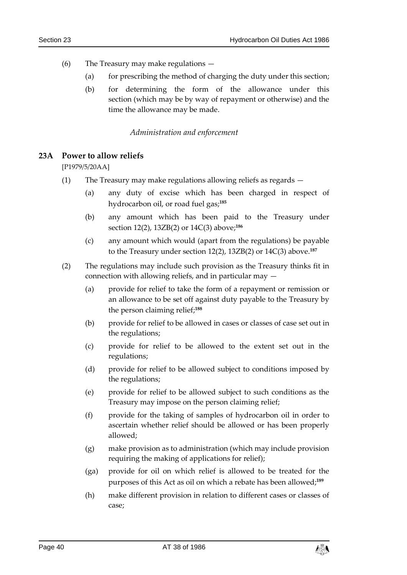- (6) The Treasury may make regulations
	- (a) for prescribing the method of charging the duty under this section;
	- (b) for determining the form of the allowance under this section (which may be by way of repayment or otherwise) and the time the allowance may be made.

#### *Administration and enforcement*

#### **23A Power to allow reliefs**

[P1979/5/20AA]

- (1) The Treasury may make regulations allowing reliefs as regards  $-$ 
	- (a) any duty of excise which has been charged in respect of hydrocarbon oil, or road fuel gas;**<sup>185</sup>**
	- (b) any amount which has been paid to the Treasury under section 12(2), 13ZB(2) or 14C(3) above;**<sup>186</sup>**
	- (c) any amount which would (apart from the regulations) be payable to the Treasury under section 12(2), 13ZB(2) or 14C(3) above.**<sup>187</sup>**
- (2) The regulations may include such provision as the Treasury thinks fit in connection with allowing reliefs, and in particular may —
	- (a) provide for relief to take the form of a repayment or remission or an allowance to be set off against duty payable to the Treasury by the person claiming relief;**<sup>188</sup>**
	- (b) provide for relief to be allowed in cases or classes of case set out in the regulations;
	- (c) provide for relief to be allowed to the extent set out in the regulations;
	- (d) provide for relief to be allowed subject to conditions imposed by the regulations;
	- (e) provide for relief to be allowed subject to such conditions as the Treasury may impose on the person claiming relief;
	- (f) provide for the taking of samples of hydrocarbon oil in order to ascertain whether relief should be allowed or has been properly allowed;
	- (g) make provision as to administration (which may include provision requiring the making of applications for relief);
	- (ga) provide for oil on which relief is allowed to be treated for the purposes of this Act as oil on which a rebate has been allowed;**<sup>189</sup>**
	- (h) make different provision in relation to different cases or classes of case;

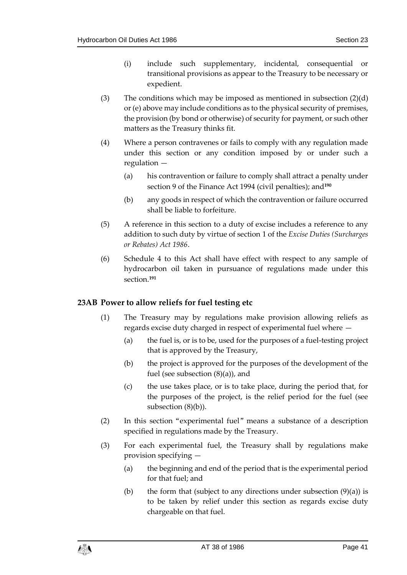- (i) include such supplementary, incidental, consequential or transitional provisions as appear to the Treasury to be necessary or expedient.
- (3) The conditions which may be imposed as mentioned in subsection  $(2)(d)$ or (e) above may include conditions as to the physical security of premises, the provision (by bond or otherwise) of security for payment, or such other matters as the Treasury thinks fit.
- (4) Where a person contravenes or fails to comply with any regulation made under this section or any condition imposed by or under such a regulation —
	- (a) his contravention or failure to comply shall attract a penalty under section 9 of the Finance Act 1994 (civil penalties); and**<sup>190</sup>**
	- (b) any goods in respect of which the contravention or failure occurred shall be liable to forfeiture.
- (5) A reference in this section to a duty of excise includes a reference to any addition to such duty by virtue of section 1 of the *Excise Duties (Surcharges or Rebates) Act 1986*.
- (6) Schedule 4 to this Act shall have effect with respect to any sample of hydrocarbon oil taken in pursuance of regulations made under this section.**<sup>191</sup>**

## **23AB Power to allow reliefs for fuel testing etc**

- (1) The Treasury may by regulations make provision allowing reliefs as regards excise duty charged in respect of experimental fuel where —
	- (a) the fuel is, or is to be, used for the purposes of a fuel-testing project that is approved by the Treasury,
	- (b) the project is approved for the purposes of the development of the fuel (see subsection (8)(a)), and
	- (c) the use takes place, or is to take place, during the period that, for the purposes of the project, is the relief period for the fuel (see subsection  $(8)(b)$ ).
- (2) In this section "experimental fuel" means a substance of a description specified in regulations made by the Treasury.
- (3) For each experimental fuel, the Treasury shall by regulations make provision specifying —
	- (a) the beginning and end of the period that is the experimental period for that fuel; and
	- (b) the form that (subject to any directions under subsection  $(9)(a)$ ) is to be taken by relief under this section as regards excise duty chargeable on that fuel.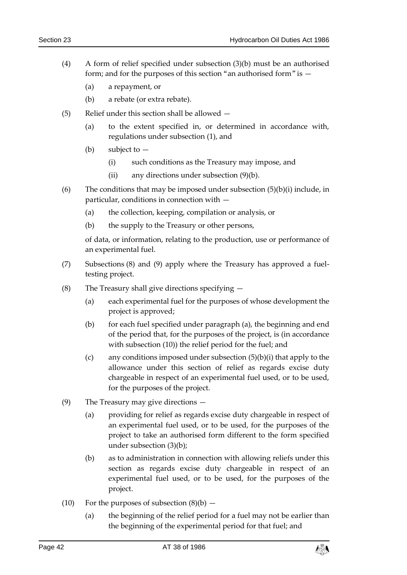- (4) A form of relief specified under subsection (3)(b) must be an authorised form; and for the purposes of this section "an authorised form" is —
	- (a) a repayment, or
	- (b) a rebate (or extra rebate).
- (5) Relief under this section shall be allowed
	- (a) to the extent specified in, or determined in accordance with, regulations under subsection (1), and
	- (b) subject to  $-$ 
		- (i) such conditions as the Treasury may impose, and
		- (ii) any directions under subsection  $(9)(b)$ .
- (6) The conditions that may be imposed under subsection  $(5)(b)(i)$  include, in particular, conditions in connection with —
	- (a) the collection, keeping, compilation or analysis, or
	- (b) the supply to the Treasury or other persons,

of data, or information, relating to the production, use or performance of an experimental fuel.

- (7) Subsections (8) and (9) apply where the Treasury has approved a fueltesting project.
- (8) The Treasury shall give directions specifying
	- (a) each experimental fuel for the purposes of whose development the project is approved;
	- (b) for each fuel specified under paragraph (a), the beginning and end of the period that, for the purposes of the project, is (in accordance with subsection (10)) the relief period for the fuel; and
	- (c) any conditions imposed under subsection  $(5)(b)(i)$  that apply to the allowance under this section of relief as regards excise duty chargeable in respect of an experimental fuel used, or to be used, for the purposes of the project.
- (9) The Treasury may give directions
	- (a) providing for relief as regards excise duty chargeable in respect of an experimental fuel used, or to be used, for the purposes of the project to take an authorised form different to the form specified under subsection (3)(b);
	- (b) as to administration in connection with allowing reliefs under this section as regards excise duty chargeable in respect of an experimental fuel used, or to be used, for the purposes of the project.
- (10) For the purposes of subsection  $(8)(b)$ 
	- (a) the beginning of the relief period for a fuel may not be earlier than the beginning of the experimental period for that fuel; and

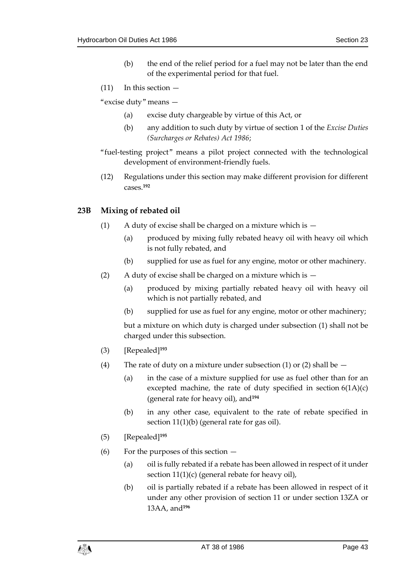- (b) the end of the relief period for a fuel may not be later than the end of the experimental period for that fuel.
- $(11)$  In this section  $-$

"excise duty" means —

- (a) excise duty chargeable by virtue of this Act, or
- (b) any addition to such duty by virtue of section 1 of the *Excise Duties (Surcharges or Rebates) Act 1986*;
- "fuel-testing project" means a pilot project connected with the technological development of environment-friendly fuels.
- (12) Regulations under this section may make different provision for different cases.**<sup>192</sup>**

## **23B Mixing of rebated oil**

- (1) A duty of excise shall be charged on a mixture which is  $-$ 
	- (a) produced by mixing fully rebated heavy oil with heavy oil which is not fully rebated, and
	- (b) supplied for use as fuel for any engine, motor or other machinery.
- (2) A duty of excise shall be charged on a mixture which is  $-$ 
	- (a) produced by mixing partially rebated heavy oil with heavy oil which is not partially rebated, and
	- (b) supplied for use as fuel for any engine, motor or other machinery;

but a mixture on which duty is charged under subsection (1) shall not be charged under this subsection.

- (3) [Repealed]**<sup>193</sup>**
- (4) The rate of duty on a mixture under subsection (1) or (2) shall be  $-$ 
	- (a) in the case of a mixture supplied for use as fuel other than for an excepted machine, the rate of duty specified in section  $6(1A)(c)$ (general rate for heavy oil), and**<sup>194</sup>**
	- (b) in any other case, equivalent to the rate of rebate specified in section 11(1)(b) (general rate for gas oil).
- (5) [Repealed]**<sup>195</sup>**
- (6) For the purposes of this section
	- (a) oil is fully rebated if a rebate has been allowed in respect of it under section 11(1)(c) (general rebate for heavy oil),
	- (b) oil is partially rebated if a rebate has been allowed in respect of it under any other provision of section 11 or under section 13ZA or 13AA, and**196**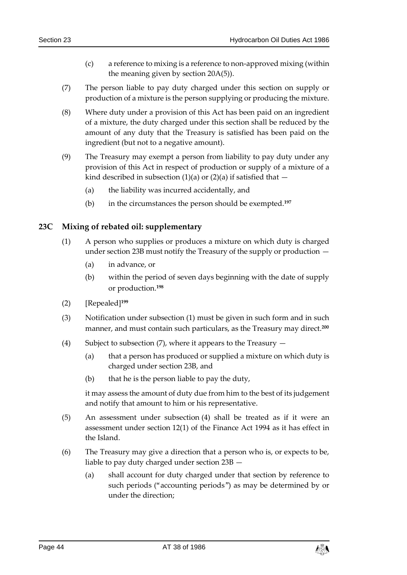- (c) a reference to mixing is a reference to non-approved mixing (within the meaning given by section 20A(5)).
- (7) The person liable to pay duty charged under this section on supply or production of a mixture is the person supplying or producing the mixture.
- (8) Where duty under a provision of this Act has been paid on an ingredient of a mixture, the duty charged under this section shall be reduced by the amount of any duty that the Treasury is satisfied has been paid on the ingredient (but not to a negative amount).
- (9) The Treasury may exempt a person from liability to pay duty under any provision of this Act in respect of production or supply of a mixture of a kind described in subsection  $(1)(a)$  or  $(2)(a)$  if satisfied that  $-$ 
	- (a) the liability was incurred accidentally, and
	- (b) in the circumstances the person should be exempted.**<sup>197</sup>**

## **23C Mixing of rebated oil: supplementary**

- (1) A person who supplies or produces a mixture on which duty is charged under section 23B must notify the Treasury of the supply or production —
	- (a) in advance, or
	- (b) within the period of seven days beginning with the date of supply or production.**<sup>198</sup>**
- (2) [Repealed]**<sup>199</sup>**
- (3) Notification under subsection (1) must be given in such form and in such manner, and must contain such particulars, as the Treasury may direct.**<sup>200</sup>**
- (4) Subject to subsection (7), where it appears to the Treasury  $-$ 
	- (a) that a person has produced or supplied a mixture on which duty is charged under section 23B, and
	- (b) that he is the person liable to pay the duty,

it may assess the amount of duty due from him to the best of its judgement and notify that amount to him or his representative.

- (5) An assessment under subsection (4) shall be treated as if it were an assessment under section 12(1) of the Finance Act 1994 as it has effect in the Island.
- (6) The Treasury may give a direction that a person who is, or expects to be, liable to pay duty charged under section 23B —
	- (a) shall account for duty charged under that section by reference to such periods ("accounting periods") as may be determined by or under the direction;

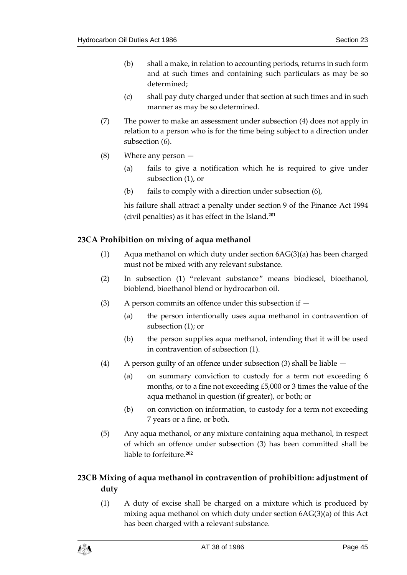- (b) shall a make, in relation to accounting periods, returns in such form and at such times and containing such particulars as may be so determined;
- (c) shall pay duty charged under that section at such times and in such manner as may be so determined.
- (7) The power to make an assessment under subsection (4) does not apply in relation to a person who is for the time being subject to a direction under subsection (6).
- (8) Where any person
	- (a) fails to give a notification which he is required to give under subsection (1), or
	- (b) fails to comply with a direction under subsection (6),

his failure shall attract a penalty under section 9 of the Finance Act 1994 (civil penalties) as it has effect in the Island.**<sup>201</sup>**

## **23CA Prohibition on mixing of aqua methanol**

- (1) Aqua methanol on which duty under section  $6AG(3)(a)$  has been charged must not be mixed with any relevant substance.
- (2) In subsection (1) "relevant substance" means biodiesel, bioethanol, bioblend, bioethanol blend or hydrocarbon oil.
- (3) A person commits an offence under this subsection if
	- (a) the person intentionally uses aqua methanol in contravention of subsection (1); or
	- (b) the person supplies aqua methanol, intending that it will be used in contravention of subsection (1).
- (4) A person guilty of an offence under subsection (3) shall be liable
	- (a) on summary conviction to custody for a term not exceeding 6 months, or to a fine not exceeding £5,000 or 3 times the value of the aqua methanol in question (if greater), or both; or
	- (b) on conviction on information, to custody for a term not exceeding 7 years or a fine, or both.
- (5) Any aqua methanol, or any mixture containing aqua methanol, in respect of which an offence under subsection (3) has been committed shall be liable to forfeiture<sup>202</sup>

# **23CB Mixing of aqua methanol in contravention of prohibition: adjustment of duty**

(1) A duty of excise shall be charged on a mixture which is produced by mixing aqua methanol on which duty under section 6AG(3)(a) of this Act has been charged with a relevant substance.

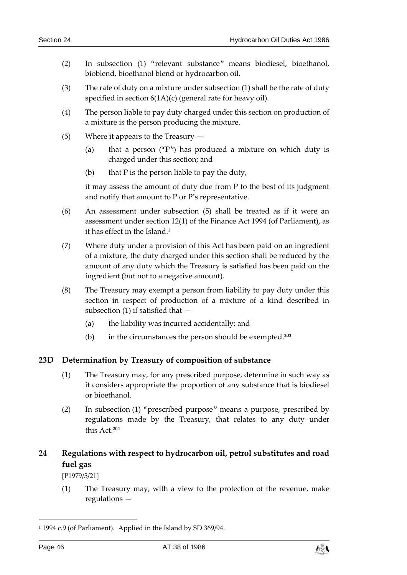- (2) In subsection (1) "relevant substance" means biodiesel, bioethanol, bioblend, bioethanol blend or hydrocarbon oil.
- (3) The rate of duty on a mixture under subsection (1) shall be the rate of duty specified in section  $6(1A)(c)$  (general rate for heavy oil).
- (4) The person liable to pay duty charged under this section on production of a mixture is the person producing the mixture.
- (5) Where it appears to the Treasury
	- (a) that a person ("P") has produced a mixture on which duty is charged under this section; and
	- (b) that  $P$  is the person liable to pay the duty,

it may assess the amount of duty due from P to the best of its judgment and notify that amount to P or P's representative.

- (6) An assessment under subsection (5) shall be treated as if it were an assessment under section 12(1) of the Finance Act 1994 (of Parliament), as it has effect in the Island. 1
- (7) Where duty under a provision of this Act has been paid on an ingredient of a mixture, the duty charged under this section shall be reduced by the amount of any duty which the Treasury is satisfied has been paid on the ingredient (but not to a negative amount).
- (8) The Treasury may exempt a person from liability to pay duty under this section in respect of production of a mixture of a kind described in subsection (1) if satisfied that —
	- (a) the liability was incurred accidentally; and
	- (b) in the circumstances the person should be exempted.**<sup>203</sup>**

## **23D Determination by Treasury of composition of substance**

- (1) The Treasury may, for any prescribed purpose, determine in such way as it considers appropriate the proportion of any substance that is biodiesel or bioethanol.
- (2) In subsection (1) "prescribed purpose" means a purpose, prescribed by regulations made by the Treasury, that relates to any duty under this Act.**<sup>204</sup>**

# **24 Regulations with respect to hydrocarbon oil, petrol substitutes and road fuel gas**

[P1979/5/21]

(1) The Treasury may, with a view to the protection of the revenue, make regulations —

-



<sup>1</sup> 1994 c.9 (of Parliament). Applied in the Island by SD 369/94.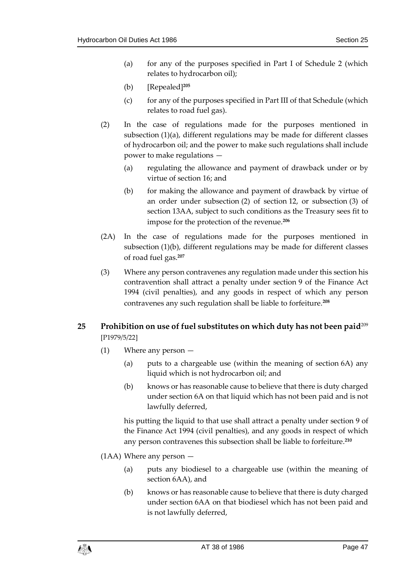- (a) for any of the purposes specified in Part I of Schedule 2 (which relates to hydrocarbon oil);
- (b) [Repealed]**<sup>205</sup>**
- (c) for any of the purposes specified in Part III of that Schedule (which relates to road fuel gas).
- (2) In the case of regulations made for the purposes mentioned in subsection (1)(a), different regulations may be made for different classes of hydrocarbon oil; and the power to make such regulations shall include power to make regulations —
	- (a) regulating the allowance and payment of drawback under or by virtue of section 16; and
	- (b) for making the allowance and payment of drawback by virtue of an order under subsection (2) of section 12, or subsection (3) of section 13AA, subject to such conditions as the Treasury sees fit to impose for the protection of the revenue.**<sup>206</sup>**
- (2A) In the case of regulations made for the purposes mentioned in subsection (1)(b), different regulations may be made for different classes of road fuel gas.**<sup>207</sup>**
- (3) Where any person contravenes any regulation made under this section his contravention shall attract a penalty under section 9 of the Finance Act 1994 (civil penalties), and any goods in respect of which any person contravenes any such regulation shall be liable to forfeiture.**<sup>208</sup>**

# **25 Prohibition on use of fuel substitutes on which duty has not been paid**<sup>209</sup> [P1979/5/22]

- (1) Where any person
	- (a) puts to a chargeable use (within the meaning of section 6A) any liquid which is not hydrocarbon oil; and
	- (b) knows or has reasonable cause to believe that there is duty charged under section 6A on that liquid which has not been paid and is not lawfully deferred,

his putting the liquid to that use shall attract a penalty under section 9 of the Finance Act 1994 (civil penalties), and any goods in respect of which any person contravenes this subsection shall be liable to forfeiture.**<sup>210</sup>**

- (1AA) Where any person
	- (a) puts any biodiesel to a chargeable use (within the meaning of section 6AA), and
	- (b) knows or has reasonable cause to believe that there is duty charged under section 6AA on that biodiesel which has not been paid and is not lawfully deferred,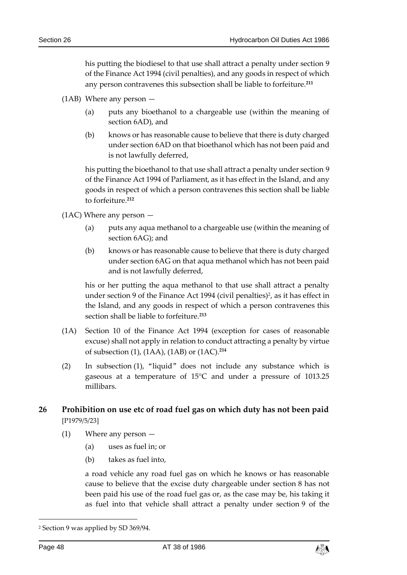his putting the biodiesel to that use shall attract a penalty under section 9 of the Finance Act 1994 (civil penalties), and any goods in respect of which any person contravenes this subsection shall be liable to forfeiture.**<sup>211</sup>**

- (1AB) Where any person
	- (a) puts any bioethanol to a chargeable use (within the meaning of section 6AD), and
	- (b) knows or has reasonable cause to believe that there is duty charged under section 6AD on that bioethanol which has not been paid and is not lawfully deferred,

his putting the bioethanol to that use shall attract a penalty under section 9 of the Finance Act 1994 of Parliament, as it has effect in the Island, and any goods in respect of which a person contravenes this section shall be liable to forfeiture.**<sup>212</sup>**

(1AC) Where any person —

- (a) puts any aqua methanol to a chargeable use (within the meaning of section 6AG); and
- (b) knows or has reasonable cause to believe that there is duty charged under section 6AG on that aqua methanol which has not been paid and is not lawfully deferred,

his or her putting the aqua methanol to that use shall attract a penalty under section 9 of the Finance Act 1994 (civil penalties)<sup>2</sup>, as it has effect in the Island, and any goods in respect of which a person contravenes this section shall be liable to forfeiture.**<sup>213</sup>**

- (1A) Section 10 of the Finance Act 1994 (exception for cases of reasonable excuse) shall not apply in relation to conduct attracting a penalty by virtue of subsection (1), (1AA), (1AB) or (1AC). **214**
- (2) In subsection (1), "liquid" does not include any substance which is gaseous at a temperature of 15°C and under a pressure of 1013.25 millibars.

# **26 Prohibition on use etc of road fuel gas on which duty has not been paid** [P1979/5/23]

- (1) Where any person
	- (a) uses as fuel in; or
	- (b) takes as fuel into,

a road vehicle any road fuel gas on which he knows or has reasonable cause to believe that the excise duty chargeable under section 8 has not been paid his use of the road fuel gas or, as the case may be, his taking it as fuel into that vehicle shall attract a penalty under section 9 of the

-



<sup>2</sup> Section 9 was applied by SD 369/94.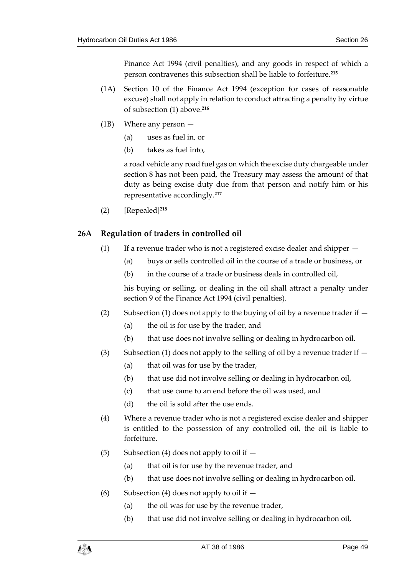Finance Act 1994 (civil penalties), and any goods in respect of which a person contravenes this subsection shall be liable to forfeiture.**<sup>215</sup>**

- (1A) Section 10 of the Finance Act 1994 (exception for cases of reasonable excuse) shall not apply in relation to conduct attracting a penalty by virtue of subsection (1) above.**<sup>216</sup>**
- (1B) Where any person
	- (a) uses as fuel in, or
	- (b) takes as fuel into,

a road vehicle any road fuel gas on which the excise duty chargeable under section 8 has not been paid, the Treasury may assess the amount of that duty as being excise duty due from that person and notify him or his representative accordingly.**<sup>217</sup>**

(2) [Repealed]**<sup>218</sup>**

## **26A Regulation of traders in controlled oil**

- $(1)$  If a revenue trader who is not a registered excise dealer and shipper  $-$ 
	- (a) buys or sells controlled oil in the course of a trade or business, or
	- (b) in the course of a trade or business deals in controlled oil,

his buying or selling, or dealing in the oil shall attract a penalty under section 9 of the Finance Act 1994 (civil penalties).

- (2) Subsection (1) does not apply to the buying of oil by a revenue trader if  $-$ 
	- (a) the oil is for use by the trader, and
	- (b) that use does not involve selling or dealing in hydrocarbon oil.
- (3) Subsection (1) does not apply to the selling of oil by a revenue trader if  $-$ 
	- (a) that oil was for use by the trader,
	- (b) that use did not involve selling or dealing in hydrocarbon oil,
	- (c) that use came to an end before the oil was used, and
	- (d) the oil is sold after the use ends.
- (4) Where a revenue trader who is not a registered excise dealer and shipper is entitled to the possession of any controlled oil, the oil is liable to forfeiture.
- (5) Subsection (4) does not apply to oil if  $-$ 
	- (a) that oil is for use by the revenue trader, and
	- (b) that use does not involve selling or dealing in hydrocarbon oil.
- (6) Subsection (4) does not apply to oil if  $-$ 
	- (a) the oil was for use by the revenue trader,
	- (b) that use did not involve selling or dealing in hydrocarbon oil,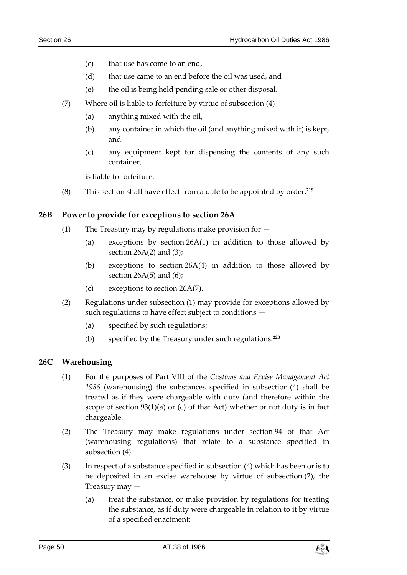- (c) that use has come to an end,
- (d) that use came to an end before the oil was used, and
- (e) the oil is being held pending sale or other disposal.
- (7) Where oil is liable to forfeiture by virtue of subsection  $(4)$ 
	- (a) anything mixed with the oil,
	- (b) any container in which the oil (and anything mixed with it) is kept, and
	- (c) any equipment kept for dispensing the contents of any such container,

is liable to forfeiture.

(8) This section shall have effect from a date to be appointed by order.**<sup>219</sup>**

## **26B Power to provide for exceptions to section 26A**

- (1) The Treasury may by regulations make provision for
	- (a) exceptions by section 26A(1) in addition to those allowed by section  $26A(2)$  and  $(3)$ ;
	- (b) exceptions to section 26A(4) in addition to those allowed by section  $26A(5)$  and  $(6)$ ;
	- (c) exceptions to section 26A(7).
- (2) Regulations under subsection (1) may provide for exceptions allowed by such regulations to have effect subject to conditions —
	- (a) specified by such regulations;
	- (b) specified by the Treasury under such regulations.**<sup>220</sup>**

## **26C Warehousing**

- (1) For the purposes of Part VIII of the *Customs and Excise Management Act 1986* (warehousing) the substances specified in subsection (4) shall be treated as if they were chargeable with duty (and therefore within the scope of section 93(1)(a) or (c) of that Act) whether or not duty is in fact chargeable.
- (2) The Treasury may make regulations under section 94 of that Act (warehousing regulations) that relate to a substance specified in subsection (4).
- (3) In respect of a substance specified in subsection (4) which has been or is to be deposited in an excise warehouse by virtue of subsection (2), the Treasury may —
	- (a) treat the substance, or make provision by regulations for treating the substance, as if duty were chargeable in relation to it by virtue of a specified enactment;

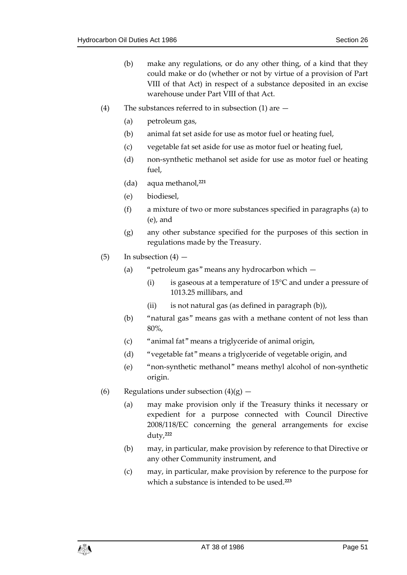- (b) make any regulations, or do any other thing, of a kind that they could make or do (whether or not by virtue of a provision of Part VIII of that Act) in respect of a substance deposited in an excise warehouse under Part VIII of that Act.
- (4) The substances referred to in subsection (1) are
	- (a) petroleum gas,
	- (b) animal fat set aside for use as motor fuel or heating fuel,
	- (c) vegetable fat set aside for use as motor fuel or heating fuel,
	- (d) non-synthetic methanol set aside for use as motor fuel or heating fuel,
	- (da) aqua methanol, **221**
	- (e) biodiesel,
	- (f) a mixture of two or more substances specified in paragraphs (a) to (e), and
	- (g) any other substance specified for the purposes of this section in regulations made by the Treasury.
- (5) In subsection  $(4)$ 
	- (a) "petroleum gas" means any hydrocarbon which
		- (i) is gaseous at a temperature of  $15^{\circ}$ C and under a pressure of 1013.25 millibars, and
		- (ii) is not natural gas (as defined in paragraph  $(b)$ ),
	- (b) "natural gas" means gas with a methane content of not less than 80%,
	- (c) "animal fat" means a triglyceride of animal origin,
	- (d) "vegetable fat" means a triglyceride of vegetable origin, and
	- (e) "non-synthetic methanol" means methyl alcohol of non-synthetic origin.
- (6) Regulations under subsection  $(4)(g)$ 
	- (a) may make provision only if the Treasury thinks it necessary or expedient for a purpose connected with Council Directive 2008/118/EC concerning the general arrangements for excise duty,**<sup>222</sup>**
	- (b) may, in particular, make provision by reference to that Directive or any other Community instrument, and
	- (c) may, in particular, make provision by reference to the purpose for which a substance is intended to be used.**223**

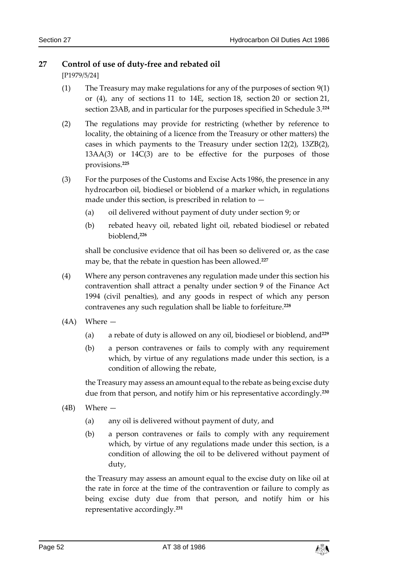## **27 Control of use of duty-free and rebated oil**

[P1979/5/24]

- (1) The Treasury may make regulations for any of the purposes of section 9(1) or (4), any of sections 11 to 14E, section 18, section 20 or section 21, section 23AB, and in particular for the purposes specified in Schedule 3.**<sup>224</sup>**
- (2) The regulations may provide for restricting (whether by reference to locality, the obtaining of a licence from the Treasury or other matters) the cases in which payments to the Treasury under section 12(2), 13ZB(2), 13AA(3) or 14C(3) are to be effective for the purposes of those provisions.**<sup>225</sup>**
- (3) For the purposes of the Customs and Excise Acts 1986, the presence in any hydrocarbon oil, biodiesel or bioblend of a marker which, in regulations made under this section, is prescribed in relation to —
	- (a) oil delivered without payment of duty under section 9; or
	- (b) rebated heavy oil, rebated light oil, rebated biodiesel or rebated bioblend,**<sup>226</sup>**

shall be conclusive evidence that oil has been so delivered or, as the case may be, that the rebate in question has been allowed.**<sup>227</sup>**

- (4) Where any person contravenes any regulation made under this section his contravention shall attract a penalty under section 9 of the Finance Act 1994 (civil penalties), and any goods in respect of which any person contravenes any such regulation shall be liable to forfeiture.**<sup>228</sup>**
- (4A) Where
	- (a) a rebate of duty is allowed on any oil, biodiesel or bioblend, and**<sup>229</sup>**
	- (b) a person contravenes or fails to comply with any requirement which, by virtue of any regulations made under this section, is a condition of allowing the rebate,

the Treasury may assess an amount equal to the rebate as being excise duty due from that person, and notify him or his representative accordingly.**<sup>230</sup>**

- (4B) Where
	- (a) any oil is delivered without payment of duty, and
	- (b) a person contravenes or fails to comply with any requirement which, by virtue of any regulations made under this section, is a condition of allowing the oil to be delivered without payment of duty,

the Treasury may assess an amount equal to the excise duty on like oil at the rate in force at the time of the contravention or failure to comply as being excise duty due from that person, and notify him or his representative accordingly.**231**

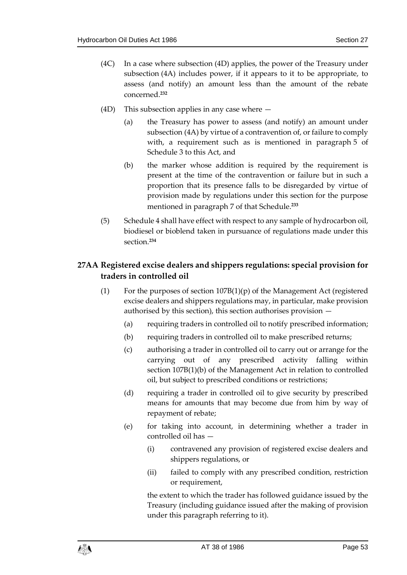- (4C) In a case where subsection (4D) applies, the power of the Treasury under subsection (4A) includes power, if it appears to it to be appropriate, to assess (and notify) an amount less than the amount of the rebate concerned.**<sup>232</sup>**
- (4D) This subsection applies in any case where
	- (a) the Treasury has power to assess (and notify) an amount under subsection (4A) by virtue of a contravention of, or failure to comply with, a requirement such as is mentioned in paragraph 5 of Schedule 3 to this Act, and
	- (b) the marker whose addition is required by the requirement is present at the time of the contravention or failure but in such a proportion that its presence falls to be disregarded by virtue of provision made by regulations under this section for the purpose mentioned in paragraph 7 of that Schedule.**<sup>233</sup>**
- (5) Schedule 4 shall have effect with respect to any sample of hydrocarbon oil, biodiesel or bioblend taken in pursuance of regulations made under this section.**<sup>234</sup>**

# **27AA Registered excise dealers and shippers regulations: special provision for traders in controlled oil**

- (1) For the purposes of section 107B(1)(p) of the Management Act (registered excise dealers and shippers regulations may, in particular, make provision authorised by this section), this section authorises provision —
	- (a) requiring traders in controlled oil to notify prescribed information;
	- (b) requiring traders in controlled oil to make prescribed returns;
	- (c) authorising a trader in controlled oil to carry out or arrange for the carrying out of any prescribed activity falling within section 107B(1)(b) of the Management Act in relation to controlled oil, but subject to prescribed conditions or restrictions;
	- (d) requiring a trader in controlled oil to give security by prescribed means for amounts that may become due from him by way of repayment of rebate;
	- (e) for taking into account, in determining whether a trader in controlled oil has —
		- (i) contravened any provision of registered excise dealers and shippers regulations, or
		- (ii) failed to comply with any prescribed condition, restriction or requirement,

the extent to which the trader has followed guidance issued by the Treasury (including guidance issued after the making of provision under this paragraph referring to it).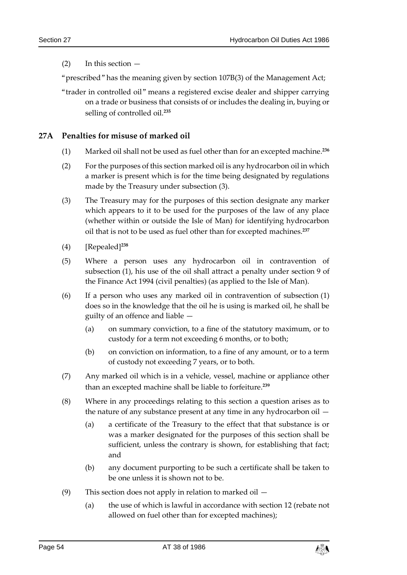(2) In this section  $-$ 

"prescribed" has the meaning given by section 107B(3) of the Management Act;

"trader in controlled oil" means a registered excise dealer and shipper carrying on a trade or business that consists of or includes the dealing in, buying or selling of controlled oil.**<sup>235</sup>**

## **27A Penalties for misuse of marked oil**

- (1) Marked oil shall not be used as fuel other than for an excepted machine. **236**
- (2) For the purposes of this section marked oil is any hydrocarbon oil in which a marker is present which is for the time being designated by regulations made by the Treasury under subsection (3).
- (3) The Treasury may for the purposes of this section designate any marker which appears to it to be used for the purposes of the law of any place (whether within or outside the Isle of Man) for identifying hydrocarbon oil that is not to be used as fuel other than for excepted machines. **237**
- (4) [Repealed]**<sup>238</sup>**
- (5) Where a person uses any hydrocarbon oil in contravention of subsection (1), his use of the oil shall attract a penalty under section 9 of the Finance Act 1994 (civil penalties) (as applied to the Isle of Man).
- (6) If a person who uses any marked oil in contravention of subsection (1) does so in the knowledge that the oil he is using is marked oil, he shall be guilty of an offence and liable —
	- (a) on summary conviction, to a fine of the statutory maximum, or to custody for a term not exceeding 6 months, or to both;
	- (b) on conviction on information, to a fine of any amount, or to a term of custody not exceeding 7 years, or to both.
- (7) Any marked oil which is in a vehicle, vessel, machine or appliance other than an excepted machine shall be liable to forfeiture.**<sup>239</sup>**
- (8) Where in any proceedings relating to this section a question arises as to the nature of any substance present at any time in any hydrocarbon oil —
	- (a) a certificate of the Treasury to the effect that that substance is or was a marker designated for the purposes of this section shall be sufficient, unless the contrary is shown, for establishing that fact; and
	- (b) any document purporting to be such a certificate shall be taken to be one unless it is shown not to be.
- (9) This section does not apply in relation to marked oil
	- (a) the use of which is lawful in accordance with section 12 (rebate not allowed on fuel other than for excepted machines);

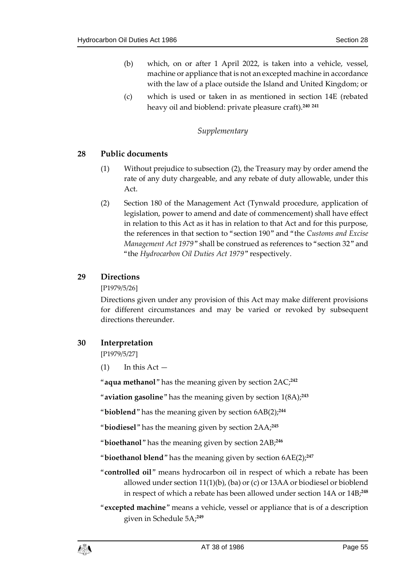- (b) which, on or after 1 April 2022, is taken into a vehicle, vessel, machine or appliance that is not an excepted machine in accordance with the law of a place outside the Island and United Kingdom; or
- (c) which is used or taken in as mentioned in section 14E (rebated heavy oil and bioblend: private pleasure craft).**<sup>240</sup> <sup>241</sup>**

## *Supplementary*

## **28 Public documents**

- (1) Without prejudice to subsection (2), the Treasury may by order amend the rate of any duty chargeable, and any rebate of duty allowable, under this Act.
- (2) Section 180 of the Management Act (Tynwald procedure, application of legislation, power to amend and date of commencement) shall have effect in relation to this Act as it has in relation to that Act and for this purpose, the references in that section to "section 190" and "the *Customs and Excise Management Act 1979*" shall be construed as references to "section 32" and "the *Hydrocarbon Oil Duties Act 1979*" respectively.

## **29 Directions**

[P1979/5/26]

Directions given under any provision of this Act may make different provisions for different circumstances and may be varied or revoked by subsequent directions thereunder.

## **30 Interpretation**

[P1979/5/27]

 $(1)$  In this Act —

"**aqua methanol**" has the meaning given by section 2AC;**<sup>242</sup>**

"**aviation gasoline**" has the meaning given by section 1(8A);**<sup>243</sup>**

"**bioblend**" has the meaning given by section 6AB(2);**<sup>244</sup>**

"**biodiesel**" has the meaning given by section 2AA;**<sup>245</sup>**

"**bioethanol**" has the meaning given by section 2AB;**<sup>246</sup>**

"**bioethanol blend**" has the meaning given by section 6AE(2);**<sup>247</sup>**

- "**controlled oil**" means hydrocarbon oil in respect of which a rebate has been allowed under section 11(1)(b), (ba) or (c) or 13AA or biodiesel or bioblend in respect of which a rebate has been allowed under section 14A or 14B;**<sup>248</sup>**
- "**excepted machine**" means a vehicle, vessel or appliance that is of a description given in Schedule 5A; **249**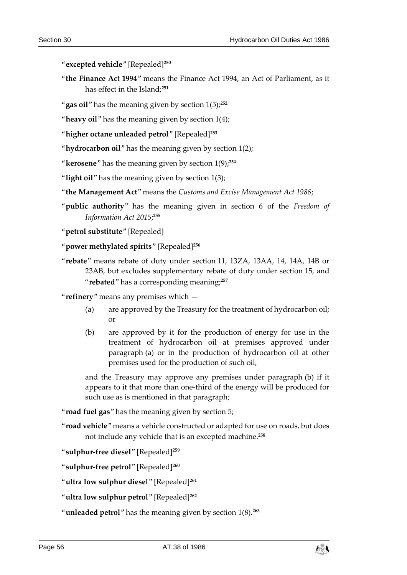"**excepted vehicle**" [Repealed]**<sup>250</sup>**

"**the Finance Act 1994**" means the Finance Act 1994, an Act of Parliament, as it has effect in the Island;**<sup>251</sup>**

"**gas oil**" has the meaning given by section 1(5);**<sup>252</sup>**

"**heavy oil**" has the meaning given by section 1(4);

"**higher octane unleaded petrol**" [Repealed]**<sup>253</sup>**

"**hydrocarbon oil**" has the meaning given by section 1(2);

"**kerosene**" has the meaning given by section 1(9);**<sup>254</sup>**

"**light oil**" has the meaning given by section 1(3);

"**the Management Act**" means the *Customs and Excise Management Act 1986*;

"**public authority**" has the meaning given in section 6 of the *Freedom of Information Act 2015*; **255**

"**petrol substitute**" [Repealed]

"**power methylated spirits**" [Repealed]**<sup>256</sup>**

"**rebate**" means rebate of duty under section 11, 13ZA, 13AA, 14, 14A, 14B or 23AB, but excludes supplementary rebate of duty under section 15, and "**rebated**" has a corresponding meaning;**<sup>257</sup>**

"**refinery**" means any premises which —

- (a) are approved by the Treasury for the treatment of hydrocarbon oil; or
- (b) are approved by it for the production of energy for use in the treatment of hydrocarbon oil at premises approved under paragraph (a) or in the production of hydrocarbon oil at other premises used for the production of such oil,

and the Treasury may approve any premises under paragraph (b) if it appears to it that more than one-third of the energy will be produced for such use as is mentioned in that paragraph;

"**road fuel gas**" has the meaning given by section 5;

- "**road vehicle**" means a vehicle constructed or adapted for use on roads, but does not include any vehicle that is an excepted machine. **258**
- "**sulphur-free diesel**" [Repealed]**<sup>259</sup>**

"**sulphur-free petrol**" [Repealed]**<sup>260</sup>**

"**ultra low sulphur diesel**" [Repealed]**<sup>261</sup>**

"**ultra low sulphur petrol**" [Repealed]**<sup>262</sup>**

"**unleaded petrol**" has the meaning given by section 1(8).**<sup>263</sup>**

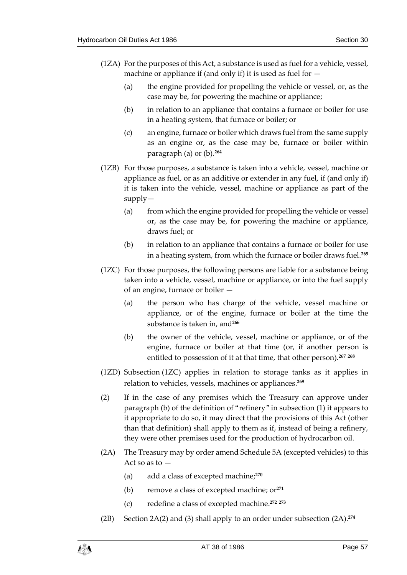- (1ZA) For the purposes of this Act, a substance is used as fuel for a vehicle, vessel, machine or appliance if (and only if) it is used as fuel for  $-$ 
	- (a) the engine provided for propelling the vehicle or vessel, or, as the case may be, for powering the machine or appliance;
	- (b) in relation to an appliance that contains a furnace or boiler for use in a heating system, that furnace or boiler; or
	- (c) an engine, furnace or boiler which draws fuel from the same supply as an engine or, as the case may be, furnace or boiler within paragraph (a) or (b).**<sup>264</sup>**
- (1ZB) For those purposes, a substance is taken into a vehicle, vessel, machine or appliance as fuel, or as an additive or extender in any fuel, if (and only if) it is taken into the vehicle, vessel, machine or appliance as part of the supply—
	- (a) from which the engine provided for propelling the vehicle or vessel or, as the case may be, for powering the machine or appliance, draws fuel; or
	- (b) in relation to an appliance that contains a furnace or boiler for use in a heating system, from which the furnace or boiler draws fuel. **265**
- (1ZC) For those purposes, the following persons are liable for a substance being taken into a vehicle, vessel, machine or appliance, or into the fuel supply of an engine, furnace or boiler —
	- (a) the person who has charge of the vehicle, vessel machine or appliance, or of the engine, furnace or boiler at the time the substance is taken in, and**<sup>266</sup>**
	- (b) the owner of the vehicle, vessel, machine or appliance, or of the engine, furnace or boiler at that time (or, if another person is entitled to possession of it at that time, that other person).**<sup>267</sup> <sup>268</sup>**
- (1ZD) Subsection (1ZC) applies in relation to storage tanks as it applies in relation to vehicles, vessels, machines or appliances. **269**
- (2) If in the case of any premises which the Treasury can approve under paragraph (b) of the definition of "refinery" in subsection (1) it appears to it appropriate to do so, it may direct that the provisions of this Act (other than that definition) shall apply to them as if, instead of being a refinery, they were other premises used for the production of hydrocarbon oil.
- (2A) The Treasury may by order amend Schedule 5A (excepted vehicles) to this Act so as to  $-$ 
	- (a) add a class of excepted machine; **270**
	- (b) remove a class of excepted machine; or**<sup>271</sup>**
	- (c) redefine a class of excepted machine. **272 273**
- (2B) Section 2A(2) and (3) shall apply to an order under subsection (2A).**<sup>274</sup>**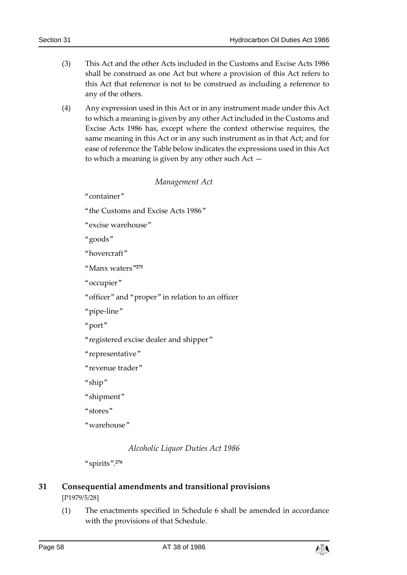- (3) This Act and the other Acts included in the Customs and Excise Acts 1986 shall be construed as one Act but where a provision of this Act refers to this Act that reference is not to be construed as including a reference to any of the others.
- (4) Any expression used in this Act or in any instrument made under this Act to which a meaning is given by any other Act included in the Customs and Excise Acts 1986 has, except where the context otherwise requires, the same meaning in this Act or in any such instrument as in that Act; and for ease of reference the Table below indicates the expressions used in this Act to which a meaning is given by any other such Act —

#### *Management Act*

"container"

"the Customs and Excise Acts 1986"

"excise warehouse"

"goods"

"hovercraft"

"Manx waters"**<sup>275</sup>**

"occupier"

"officer" and "proper" in relation to an officer

"pipe-line"

"port"

"registered excise dealer and shipper"

"representative"

"revenue trader"

"ship"

"shipment"

"stores"

"warehouse"

*Alcoholic Liquor Duties Act 1986*

"spirits". **276**

#### **31 Consequential amendments and transitional provisions**

[P1979/5/28]

(1) The enactments specified in Schedule 6 shall be amended in accordance with the provisions of that Schedule.

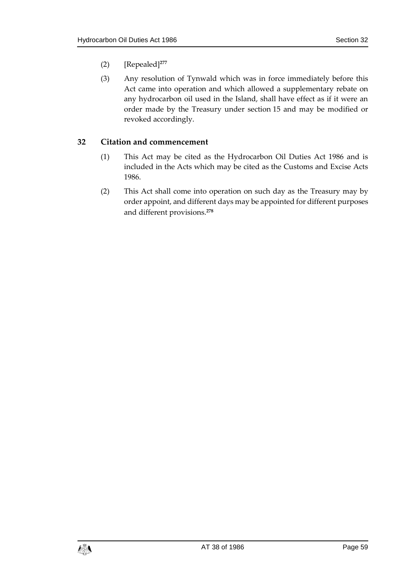- (2) [Repealed]**<sup>277</sup>**
- (3) Any resolution of Tynwald which was in force immediately before this Act came into operation and which allowed a supplementary rebate on any hydrocarbon oil used in the Island, shall have effect as if it were an order made by the Treasury under section 15 and may be modified or revoked accordingly.

## **32 Citation and commencement**

- (1) This Act may be cited as the Hydrocarbon Oil Duties Act 1986 and is included in the Acts which may be cited as the Customs and Excise Acts 1986.
- (2) This Act shall come into operation on such day as the Treasury may by order appoint, and different days may be appointed for different purposes and different provisions.**278**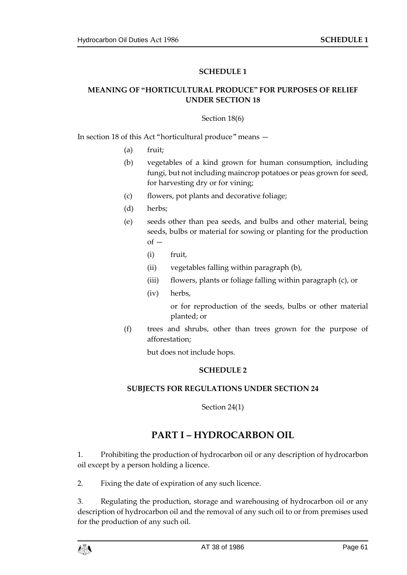#### **SCHEDULE 1**

## **MEANING OF "HORTICULTURAL PRODUCE" FOR PURPOSES OF RELIEF UNDER SECTION 18**

Section 18(6)

In section 18 of this Act "horticultural produce" means —

- (a) fruit;
- (b) vegetables of a kind grown for human consumption, including fungi, but not including maincrop potatoes or peas grown for seed, for harvesting dry or for vining;
- (c) flowers, pot plants and decorative foliage;
- (d) herbs;
- (e) seeds other than pea seeds, and bulbs and other material, being seeds, bulbs or material for sowing or planting for the production  $of -$ 
	- (i) fruit,
	- (ii) vegetables falling within paragraph (b),
	- (iii) flowers, plants or foliage falling within paragraph (c), or
	- (iv) herbs,

or for reproduction of the seeds, bulbs or other material planted; or

(f) trees and shrubs, other than trees grown for the purpose of afforestation;

but does not include hops.

#### **SCHEDULE 2**

#### **SUBJECTS FOR REGULATIONS UNDER SECTION 24**

Section 24(1)

# **PART I – HYDROCARBON OIL**

1. Prohibiting the production of hydrocarbon oil or any description of hydrocarbon oil except by a person holding a licence.

2. Fixing the date of expiration of any such licence.

3. Regulating the production, storage and warehousing of hydrocarbon oil or any description of hydrocarbon oil and the removal of any such oil to or from premises used for the production of any such oil.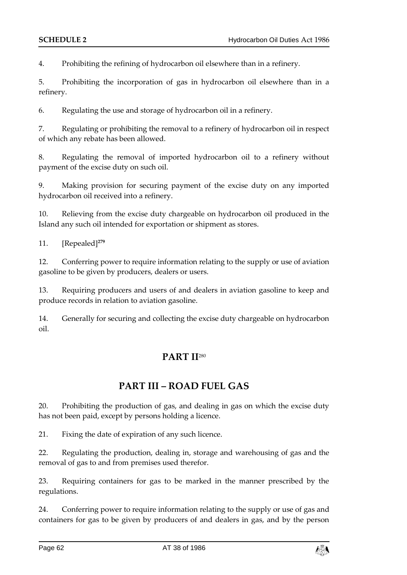4. Prohibiting the refining of hydrocarbon oil elsewhere than in a refinery.

5. Prohibiting the incorporation of gas in hydrocarbon oil elsewhere than in a refinery.

6. Regulating the use and storage of hydrocarbon oil in a refinery.

7. Regulating or prohibiting the removal to a refinery of hydrocarbon oil in respect of which any rebate has been allowed.

8. Regulating the removal of imported hydrocarbon oil to a refinery without payment of the excise duty on such oil.

9. Making provision for securing payment of the excise duty on any imported hydrocarbon oil received into a refinery.

10. Relieving from the excise duty chargeable on hydrocarbon oil produced in the Island any such oil intended for exportation or shipment as stores.

11. [Repealed]**<sup>279</sup>**

12. Conferring power to require information relating to the supply or use of aviation gasoline to be given by producers, dealers or users.

13. Requiring producers and users of and dealers in aviation gasoline to keep and produce records in relation to aviation gasoline.

14. Generally for securing and collecting the excise duty chargeable on hydrocarbon oil.

# **PART II**<sup>280</sup>

# **PART III – ROAD FUEL GAS**

20. Prohibiting the production of gas, and dealing in gas on which the excise duty has not been paid, except by persons holding a licence.

21. Fixing the date of expiration of any such licence.

22. Regulating the production, dealing in, storage and warehousing of gas and the removal of gas to and from premises used therefor.

23. Requiring containers for gas to be marked in the manner prescribed by the regulations.

24. Conferring power to require information relating to the supply or use of gas and containers for gas to be given by producers of and dealers in gas, and by the person

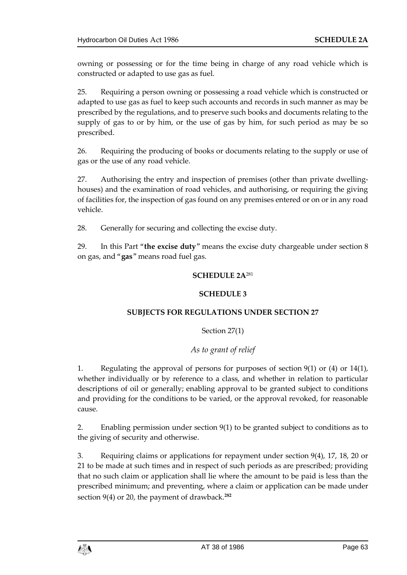owning or possessing or for the time being in charge of any road vehicle which is constructed or adapted to use gas as fuel.

25. Requiring a person owning or possessing a road vehicle which is constructed or adapted to use gas as fuel to keep such accounts and records in such manner as may be prescribed by the regulations, and to preserve such books and documents relating to the supply of gas to or by him, or the use of gas by him, for such period as may be so prescribed.

26. Requiring the producing of books or documents relating to the supply or use of gas or the use of any road vehicle.

27. Authorising the entry and inspection of premises (other than private dwellinghouses) and the examination of road vehicles, and authorising, or requiring the giving of facilities for, the inspection of gas found on any premises entered or on or in any road vehicle.

28. Generally for securing and collecting the excise duty.

29. In this Part "**the excise duty**" means the excise duty chargeable under section 8 on gas, and "**gas**" means road fuel gas.

#### **SCHEDULE 2A**<sup>281</sup>

#### **SCHEDULE 3**

#### **SUBJECTS FOR REGULATIONS UNDER SECTION 27**

#### Section 27(1)

## *As to grant of relief*

1. Regulating the approval of persons for purposes of section 9(1) or (4) or 14(1), whether individually or by reference to a class, and whether in relation to particular descriptions of oil or generally; enabling approval to be granted subject to conditions and providing for the conditions to be varied, or the approval revoked, for reasonable cause.

2. Enabling permission under section 9(1) to be granted subject to conditions as to the giving of security and otherwise.

3. Requiring claims or applications for repayment under section 9(4), 17, 18, 20 or 21 to be made at such times and in respect of such periods as are prescribed; providing that no such claim or application shall lie where the amount to be paid is less than the prescribed minimum; and preventing, where a claim or application can be made under section 9(4) or 20, the payment of drawback.**<sup>282</sup>**

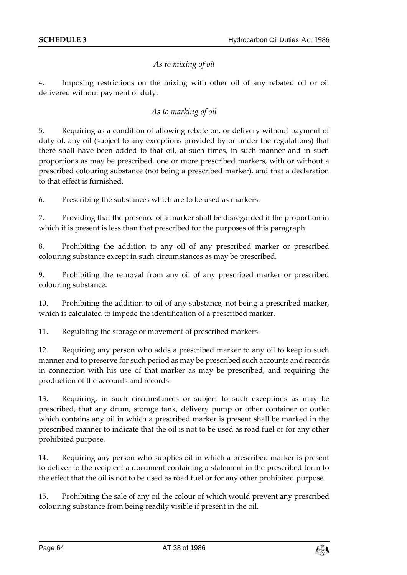## *As to mixing of oil*

4. Imposing restrictions on the mixing with other oil of any rebated oil or oil delivered without payment of duty.

## *As to marking of oil*

5. Requiring as a condition of allowing rebate on, or delivery without payment of duty of, any oil (subject to any exceptions provided by or under the regulations) that there shall have been added to that oil, at such times, in such manner and in such proportions as may be prescribed, one or more prescribed markers, with or without a prescribed colouring substance (not being a prescribed marker), and that a declaration to that effect is furnished.

6. Prescribing the substances which are to be used as markers.

7. Providing that the presence of a marker shall be disregarded if the proportion in which it is present is less than that prescribed for the purposes of this paragraph.

8. Prohibiting the addition to any oil of any prescribed marker or prescribed colouring substance except in such circumstances as may be prescribed.

9. Prohibiting the removal from any oil of any prescribed marker or prescribed colouring substance.

10. Prohibiting the addition to oil of any substance, not being a prescribed marker, which is calculated to impede the identification of a prescribed marker.

11. Regulating the storage or movement of prescribed markers.

12. Requiring any person who adds a prescribed marker to any oil to keep in such manner and to preserve for such period as may be prescribed such accounts and records in connection with his use of that marker as may be prescribed, and requiring the production of the accounts and records.

13. Requiring, in such circumstances or subject to such exceptions as may be prescribed, that any drum, storage tank, delivery pump or other container or outlet which contains any oil in which a prescribed marker is present shall be marked in the prescribed manner to indicate that the oil is not to be used as road fuel or for any other prohibited purpose.

14. Requiring any person who supplies oil in which a prescribed marker is present to deliver to the recipient a document containing a statement in the prescribed form to the effect that the oil is not to be used as road fuel or for any other prohibited purpose.

15. Prohibiting the sale of any oil the colour of which would prevent any prescribed colouring substance from being readily visible if present in the oil.

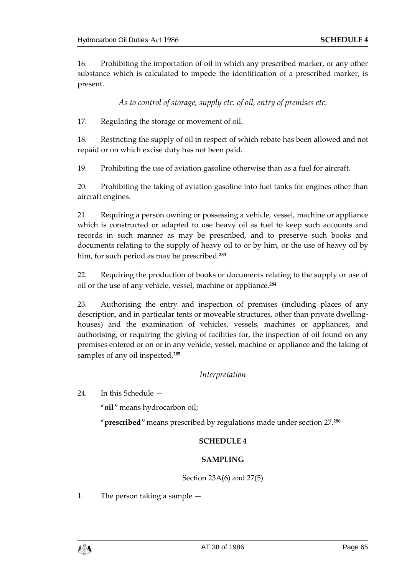16. Prohibiting the importation of oil in which any prescribed marker, or any other substance which is calculated to impede the identification of a prescribed marker, is present.

*As to control of storage, supply etc. of oil, entry of premises etc.*

17. Regulating the storage or movement of oil.

18. Restricting the supply of oil in respect of which rebate has been allowed and not repaid or on which excise duty has not been paid.

19. Prohibiting the use of aviation gasoline otherwise than as a fuel for aircraft.

20. Prohibiting the taking of aviation gasoline into fuel tanks for engines other than aircraft engines.

21. Requiring a person owning or possessing a vehicle, vessel, machine or appliance which is constructed or adapted to use heavy oil as fuel to keep such accounts and records in such manner as may be prescribed, and to preserve such books and documents relating to the supply of heavy oil to or by him, or the use of heavy oil by him, for such period as may be prescribed.**<sup>283</sup>**

22. Requiring the production of books or documents relating to the supply or use of oil or the use of any vehicle, vessel, machine or appliance. **284**

23. Authorising the entry and inspection of premises (including places of any description, and in particular tents or moveable structures, other than private dwellinghouses) and the examination of vehicles, vessels, machines or appliances, and authorising, or requiring the giving of facilities for, the inspection of oil found on any premises entered or on or in any vehicle, vessel, machine or appliance and the taking of samples of any oil inspected.**<sup>285</sup>**

#### *Interpretation*

24. In this Schedule —

"**oil**" means hydrocarbon oil;

"**prescribed**" means prescribed by regulations made under section 27.**<sup>286</sup>**

#### **SCHEDULE 4**

#### **SAMPLING**

Section 23A(6) and 27(5)

1. The person taking a sample —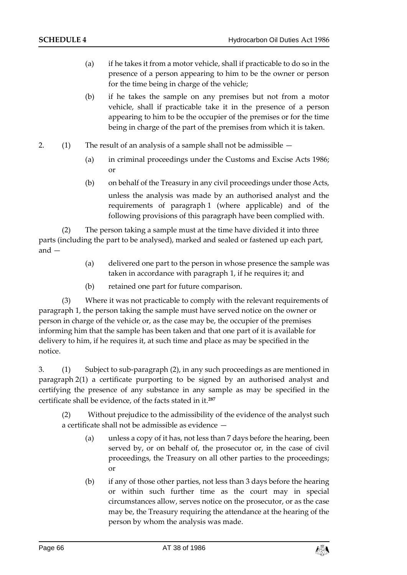- (a) if he takes it from a motor vehicle, shall if practicable to do so in the presence of a person appearing to him to be the owner or person for the time being in charge of the vehicle;
- (b) if he takes the sample on any premises but not from a motor vehicle, shall if practicable take it in the presence of a person appearing to him to be the occupier of the premises or for the time being in charge of the part of the premises from which it is taken.
- 2. (1) The result of an analysis of a sample shall not be admissible  $-$ 
	- (a) in criminal proceedings under the Customs and Excise Acts 1986; or
	- (b) on behalf of the Treasury in any civil proceedings under those Acts, unless the analysis was made by an authorised analyst and the requirements of paragraph 1 (where applicable) and of the following provisions of this paragraph have been complied with.

(2) The person taking a sample must at the time have divided it into three parts (including the part to be analysed), marked and sealed or fastened up each part, and —

- (a) delivered one part to the person in whose presence the sample was taken in accordance with paragraph 1, if he requires it; and
- (b) retained one part for future comparison.

(3) Where it was not practicable to comply with the relevant requirements of paragraph 1, the person taking the sample must have served notice on the owner or person in charge of the vehicle or, as the case may be, the occupier of the premises informing him that the sample has been taken and that one part of it is available for delivery to him, if he requires it, at such time and place as may be specified in the notice.

3. (1) Subject to sub-paragraph (2), in any such proceedings as are mentioned in paragraph 2(1) a certificate purporting to be signed by an authorised analyst and certifying the presence of any substance in any sample as may be specified in the certificate shall be evidence, of the facts stated in it.**<sup>287</sup>**

(2) Without prejudice to the admissibility of the evidence of the analyst such a certificate shall not be admissible as evidence —

- (a) unless a copy of it has, not less than 7 days before the hearing, been served by, or on behalf of, the prosecutor or, in the case of civil proceedings, the Treasury on all other parties to the proceedings; or
- (b) if any of those other parties, not less than 3 days before the hearing or within such further time as the court may in special circumstances allow, serves notice on the prosecutor, or as the case may be, the Treasury requiring the attendance at the hearing of the person by whom the analysis was made.

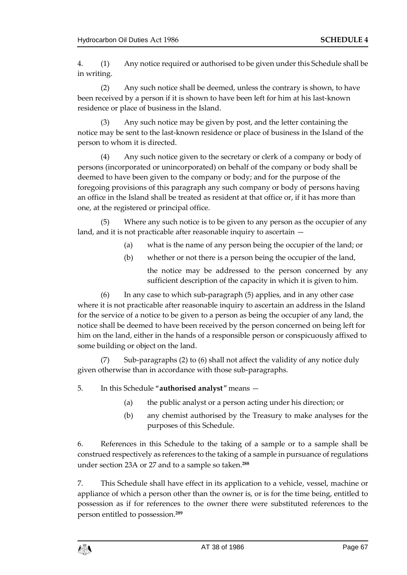4. (1) Any notice required or authorised to be given under this Schedule shall be in writing.

(2) Any such notice shall be deemed, unless the contrary is shown, to have been received by a person if it is shown to have been left for him at his last-known residence or place of business in the Island.

(3) Any such notice may be given by post, and the letter containing the notice may be sent to the last-known residence or place of business in the Island of the person to whom it is directed.

(4) Any such notice given to the secretary or clerk of a company or body of persons (incorporated or unincorporated) on behalf of the company or body shall be deemed to have been given to the company or body; and for the purpose of the foregoing provisions of this paragraph any such company or body of persons having an office in the Island shall be treated as resident at that office or, if it has more than one, at the registered or principal office.

(5) Where any such notice is to be given to any person as the occupier of any land, and it is not practicable after reasonable inquiry to ascertain —

- (a) what is the name of any person being the occupier of the land; or
- (b) whether or not there is a person being the occupier of the land,

the notice may be addressed to the person concerned by any sufficient description of the capacity in which it is given to him.

(6) In any case to which sub-paragraph (5) applies, and in any other case where it is not practicable after reasonable inquiry to ascertain an address in the Island for the service of a notice to be given to a person as being the occupier of any land, the notice shall be deemed to have been received by the person concerned on being left for him on the land, either in the hands of a responsible person or conspicuously affixed to some building or object on the land.

(7) Sub-paragraphs (2) to (6) shall not affect the validity of any notice duly given otherwise than in accordance with those sub-paragraphs.

- 5. In this Schedule "**authorised analyst**" means
	- (a) the public analyst or a person acting under his direction; or
	- (b) any chemist authorised by the Treasury to make analyses for the purposes of this Schedule.

6. References in this Schedule to the taking of a sample or to a sample shall be construed respectively as references to the taking of a sample in pursuance of regulations under section 23A or 27 and to a sample so taken.**<sup>288</sup>**

7. This Schedule shall have effect in its application to a vehicle, vessel, machine or appliance of which a person other than the owner is, or is for the time being, entitled to possession as if for references to the owner there were substituted references to the person entitled to possession.**289**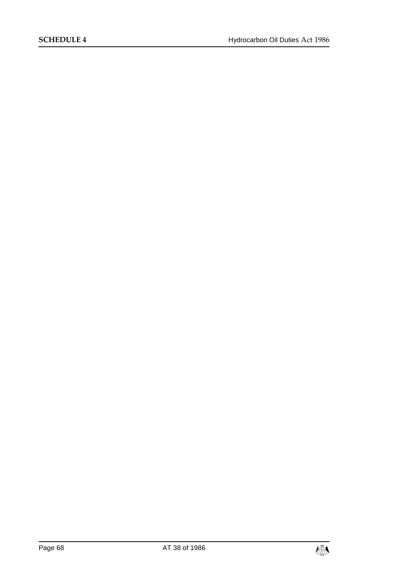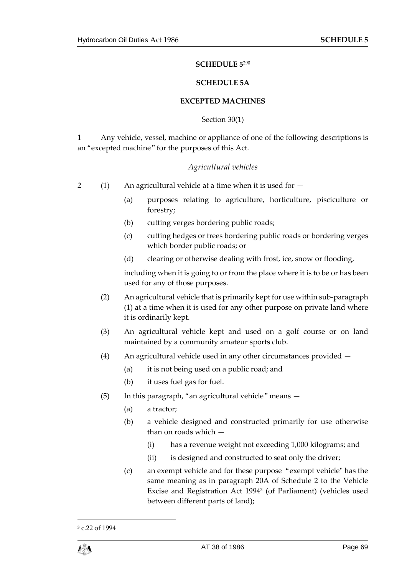## **SCHEDULE 5** 290

#### **SCHEDULE 5A**

#### **EXCEPTED MACHINES**

Section 30(1)

1 Any vehicle, vessel, machine or appliance of one of the following descriptions is an "excepted machine" for the purposes of this Act.

#### *Agricultural vehicles*

- 2 (1) An agricultural vehicle at a time when it is used for
	- (a) purposes relating to agriculture, horticulture, pisciculture or forestry;
	- (b) cutting verges bordering public roads;
	- (c) cutting hedges or trees bordering public roads or bordering verges which border public roads; or
	- (d) clearing or otherwise dealing with frost, ice, snow or flooding,

including when it is going to or from the place where it is to be or has been used for any of those purposes.

- (2) An agricultural vehicle that is primarily kept for use within sub-paragraph (1) at a time when it is used for any other purpose on private land where it is ordinarily kept.
- (3) An agricultural vehicle kept and used on a golf course or on land maintained by a community amateur sports club.
- (4) An agricultural vehicle used in any other circumstances provided
	- (a) it is not being used on a public road; and
	- (b) it uses fuel gas for fuel.
- (5) In this paragraph, "an agricultural vehicle" means
	- (a) a tractor;
	- (b) a vehicle designed and constructed primarily for use otherwise than on roads which —
		- (i) has a revenue weight not exceeding 1,000 kilograms; and
		- (ii) is designed and constructed to seat only the driver;
	- (c) an exempt vehicle and for these purpose "exempt vehicle" has the same meaning as in paragraph 20A of Schedule 2 to the Vehicle Excise and Registration Act 1994<sup>3</sup> (of Parliament) (vehicles used between different parts of land);

1

<sup>3</sup> c.22 of 1994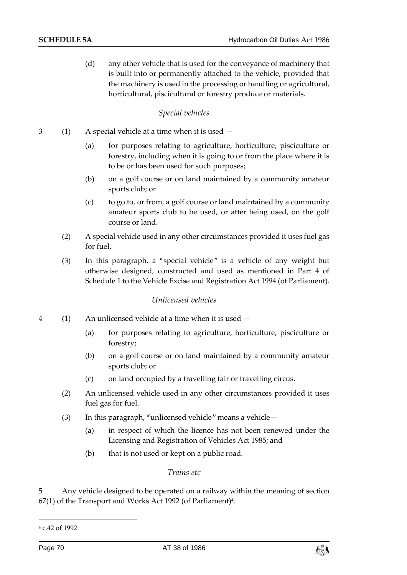(d) any other vehicle that is used for the conveyance of machinery that is built into or permanently attached to the vehicle, provided that the machinery is used in the processing or handling or agricultural, horticultural, piscicultural or forestry produce or materials.

#### *Special vehicles*

- 3 (1) A special vehicle at a time when it is used
	- (a) for purposes relating to agriculture, horticulture, pisciculture or forestry, including when it is going to or from the place where it is to be or has been used for such purposes;
	- (b) on a golf course or on land maintained by a community amateur sports club; or
	- (c) to go to, or from, a golf course or land maintained by a community amateur sports club to be used, or after being used, on the golf course or land.
	- (2) A special vehicle used in any other circumstances provided it uses fuel gas for fuel.
	- (3) In this paragraph, a "special vehicle" is a vehicle of any weight but otherwise designed, constructed and used as mentioned in Part 4 of Schedule 1 to the Vehicle Excise and Registration Act 1994 (of Parliament).

#### *Unlicensed vehicles*

- 4 (1) An unlicensed vehicle at a time when it is used
	- (a) for purposes relating to agriculture, horticulture, pisciculture or forestry;
	- (b) on a golf course or on land maintained by a community amateur sports club; or
	- (c) on land occupied by a travelling fair or travelling circus.
	- (2) An unlicensed vehicle used in any other circumstances provided it uses fuel gas for fuel.
	- (3) In this paragraph, "unlicensed vehicle" means a vehicle $-$ 
		- (a) in respect of which the licence has not been renewed under the Licensing and Registration of Vehicles Act 1985; and
		- (b) that is not used or kept on a public road.

#### *Trains etc*

5 Any vehicle designed to be operated on a railway within the meaning of section 67(1) of the Transport and Works Act 1992 (of Parliament)<sup>4</sup>.

-



<sup>4</sup> c.42 of 1992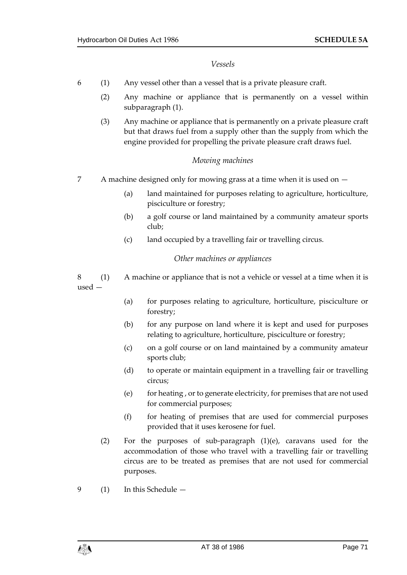#### *Vessels*

- 6 (1) Any vessel other than a vessel that is a private pleasure craft.
	- (2) Any machine or appliance that is permanently on a vessel within subparagraph (1).
	- (3) Any machine or appliance that is permanently on a private pleasure craft but that draws fuel from a supply other than the supply from which the engine provided for propelling the private pleasure craft draws fuel.

#### *Mowing machines*

- 7 A machine designed only for mowing grass at a time when it is used on
	- (a) land maintained for purposes relating to agriculture, horticulture, pisciculture or forestry;
	- (b) a golf course or land maintained by a community amateur sports club;
	- (c) land occupied by a travelling fair or travelling circus.

#### *Other machines or appliances*

8 (1) A machine or appliance that is not a vehicle or vessel at a time when it is used —

- (a) for purposes relating to agriculture, horticulture, pisciculture or forestry;
- (b) for any purpose on land where it is kept and used for purposes relating to agriculture, horticulture, pisciculture or forestry;
- (c) on a golf course or on land maintained by a community amateur sports club;
- (d) to operate or maintain equipment in a travelling fair or travelling circus;
- (e) for heating , or to generate electricity, for premises that are not used for commercial purposes;
- (f) for heating of premises that are used for commercial purposes provided that it uses kerosene for fuel.
- (2) For the purposes of sub-paragraph (1)(e), caravans used for the accommodation of those who travel with a travelling fair or travelling circus are to be treated as premises that are not used for commercial purposes.
- 9 (1) In this Schedule —

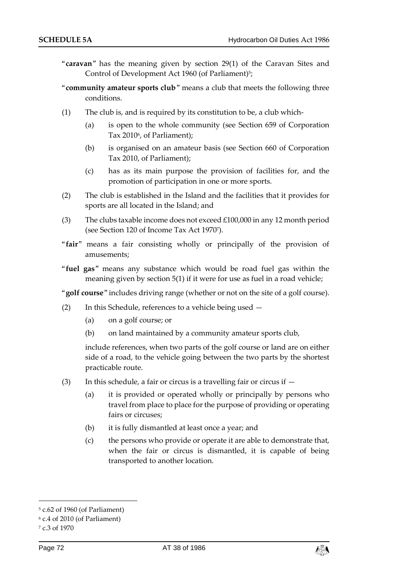- "**caravan**" has the meaning given by section 29(1) of the Caravan Sites and Control of Development Act 1960 (of Parliament)<sup>5</sup>;
- "**community amateur sports club**" means a club that meets the following three conditions.
- (1) The club is, and is required by its constitution to be, a club which-
	- (a) is open to the whole community (see Section 659 of Corporation Tax 2010<sup>6</sup> , of Parliament);
	- (b) is organised on an amateur basis (see Section 660 of Corporation Tax 2010, of Parliament);
	- (c) has as its main purpose the provision of facilities for, and the promotion of participation in one or more sports.
- (2) The club is established in the Island and the facilities that it provides for sports are all located in the Island; and
- (3) The clubs taxable income does not exceed £100,000 in any 12 month period (see Section 120 of Income Tax Act 1970<sup>7</sup> ).
- "**fair**" means a fair consisting wholly or principally of the provision of amusements;
- "**fuel gas**" means any substance which would be road fuel gas within the meaning given by section 5(1) if it were for use as fuel in a road vehicle;

"**golf course**" includes driving range (whether or not on the site of a golf course).

- (2) In this Schedule, references to a vehicle being used
	- (a) on a golf course; or
	- (b) on land maintained by a community amateur sports club,

include references, when two parts of the golf course or land are on either side of a road, to the vehicle going between the two parts by the shortest practicable route.

- (3) In this schedule, a fair or circus is a travelling fair or circus if  $-$ 
	- (a) it is provided or operated wholly or principally by persons who travel from place to place for the purpose of providing or operating fairs or circuses;
	- (b) it is fully dismantled at least once a year; and
	- (c) the persons who provide or operate it are able to demonstrate that, when the fair or circus is dismantled, it is capable of being transported to another location.

-



<sup>5</sup> c.62 of 1960 (of Parliament)

<sup>6</sup> c.4 of 2010 (of Parliament)

<sup>7</sup> c.3 of 1970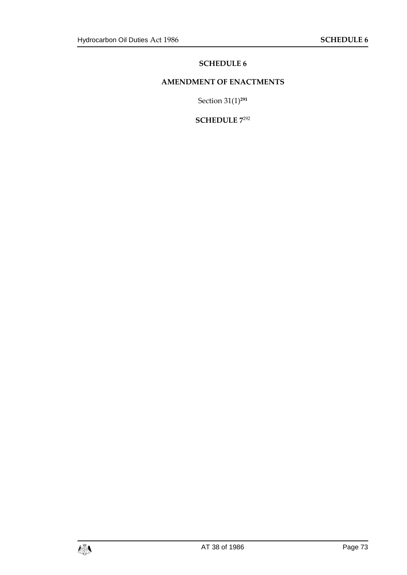#### **SCHEDULE 6**

### **AMENDMENT OF ENACTMENTS**

Section 31(1)**<sup>291</sup>**

**SCHEDULE 7** 292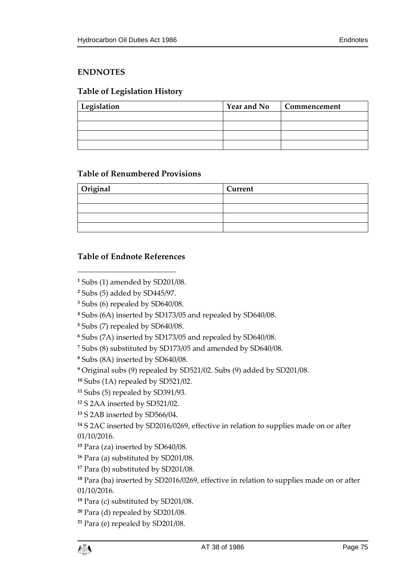# **ENDNOTES**

# **Table of Legislation History**

| Legislation | Year and No | Commencement |
|-------------|-------------|--------------|
|             |             |              |
|             |             |              |
|             |             |              |
|             |             |              |

### **Table of Renumbered Provisions**

| Original | Current |
|----------|---------|
|          |         |
|          |         |
|          |         |
|          |         |

### **Table of Endnote References**

 $\overline{a}$ 

```
12 S 2AA inserted by SD521/02.
```

```
13 S 2AB inserted by SD566/04.
```

```
14 S 2AC inserted by SD2016/0269, effective in relation to supplies made on or after 
01/10/2016.
```
- Para (za) inserted by SD640/08.
- Para (a) substituted by SD201/08.
- Para (b) substituted by SD201/08.

- Para (d) repealed by SD201/08.
- Para (e) repealed by SD201/08.

Subs (1) amended by SD201/08.

Subs (5) added by SD445/97.

Subs (6) repealed by SD640/08.

Subs (6A) inserted by SD173/05 and repealed by SD640/08.

Subs (7) repealed by SD640/08.

Subs (7A) inserted by SD173/05 and repealed by SD640/08.

Subs (8) substituted by SD173/05 and amended by SD640/08.

Subs (8A) inserted by SD640/08.

Original subs (9) repealed by SD521/02. Subs (9) added by SD201/08.

Subs (1A) repealed by SD521/02.

Subs (5) repealed by SD391/93.

 Para (ba) inserted by SD2016/0269, effective in relation to supplies made on or after 01/10/2016.

Para (c) substituted by SD201/08.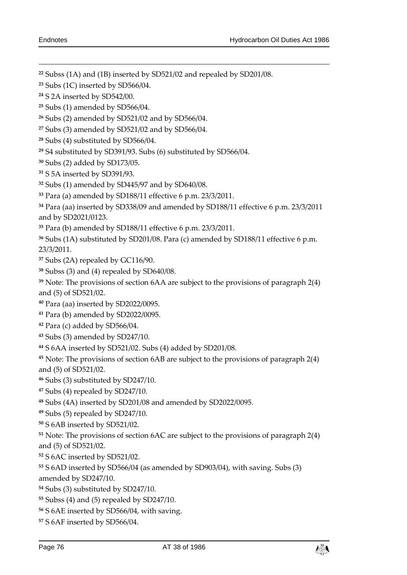Subss (1A) and (1B) inserted by SD521/02 and repealed by SD201/08.

Subs (1C) inserted by SD566/04.

S 2A inserted by SD542/00.

Subs (1) amended by SD566/04.

Subs (2) amended by SD521/02 and by SD566/04.

Subs (3) amended by SD521/02 and by SD566/04.

Subs (4) substituted by SD566/04.

S4 substituted by SD391/93. Subs (6) substituted by SD566/04.

Subs (2) added by SD173/05.

S 5A inserted by SD391/93.

Subs (1) amended by SD445/97 and by SD640/08.

Para (a) amended by SD188/11 effective 6 p.m. 23/3/2011.

 Para (aa) inserted by SD338/09 and amended by SD188/11 effective 6 p.m. 23/3/2011 and by SD2021/0123.

Para (b) amended by SD188/11 effective 6 p.m. 23/3/2011.

 Subs (1A) substituted by SD201/08. Para (c) amended by SD188/11 effective 6 p.m. 23/3/2011.

Subs (2A) repealed by GC116/90.

Subss (3) and (4) repealed by SD640/08.

 Note: The provisions of section 6AA are subject to the provisions of paragraph 2(4) and (5) of SD521/02.

Para (aa) inserted by SD2022/0095.

Para (b) amended by SD2022/0095.

Para (c) added by SD566/04.

Subs (3) amended by SD247/10.

S 6AA inserted by SD521/02. Subs (4) added by SD201/08.

 Note: The provisions of section 6AB are subject to the provisions of paragraph 2(4) and (5) of SD521/02.

Subs (3) substituted by SD247/10.

Subs (4) repealed by SD247/10.

Subs (4A) inserted by SD201/08 and amended by SD2022/0095.

Subs (5) repealed by SD247/10.

S 6AB inserted by SD521/02.

 Note: The provisions of section 6AC are subject to the provisions of paragraph 2(4) and (5) of SD521/02.

S 6AC inserted by SD521/02.

 S 6AD inserted by SD566/04 (as amended by SD903/04), with saving. Subs (3) amended by SD247/10.

Subs (3) substituted by SD247/10.

Subss (4) and (5) repealed by SD247/10.

S 6AE inserted by SD566/04, with saving.

S 6AF inserted by SD566/04.

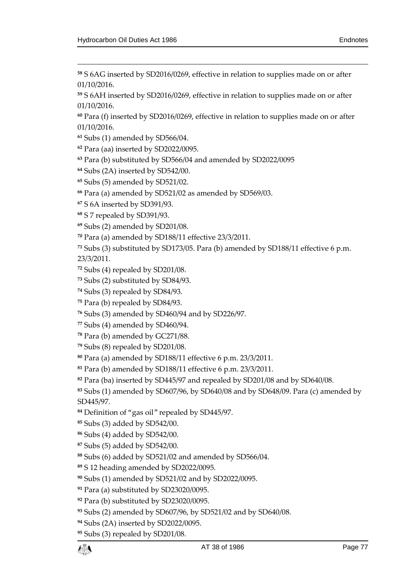S 6AG inserted by SD2016/0269, effective in relation to supplies made on or after 01/10/2016.

 S 6AH inserted by SD2016/0269, effective in relation to supplies made on or after 01/10/2016.

 Para (f) inserted by SD2016/0269, effective in relation to supplies made on or after 01/10/2016.

Subs (1) amended by SD566/04.

Para (aa) inserted by SD2022/0095.

Para (b) substituted by SD566/04 and amended by SD2022/0095

Subs (2A) inserted by SD542/00.

Subs (5) amended by SD521/02.

Para (a) amended by SD521/02 as amended by SD569/03.

S 6A inserted by SD391/93.

S 7 repealed by SD391/93.

Subs (2) amended by SD201/08.

Para (a) amended by SD188/11 effective 23/3/2011.

 Subs (3) substituted by SD173/05. Para (b) amended by SD188/11 effective 6 p.m. 23/3/2011.

Subs (4) repealed by SD201/08.

Subs (2) substituted by SD84/93.

Subs (3) repealed by SD84/93.

Para (b) repealed by SD84/93.

Subs (3) amended by SD460/94 and by SD226/97.

Subs (4) amended by SD460/94.

Para (b) amended by GC271/88.

Subs (8) repealed by SD201/08.

Para (a) amended by SD188/11 effective 6 p.m. 23/3/2011.

Para (b) amended by SD188/11 effective 6 p.m. 23/3/2011.

Para (ba) inserted by SD445/97 and repealed by SD201/08 and by SD640/08.

 Subs (1) amended by SD607/96, by SD640/08 and by SD648/09. Para (c) amended by SD445/97.

Definition of "gas oil" repealed by SD445/97.

Subs (3) added by SD542/00.

Subs (4) added by SD542/00.

Subs (5) added by SD542/00.

Subs (6) added by SD521/02 and amended by SD566/04.

S 12 heading amended by SD2022/0095.

Subs (1) amended by SD521/02 and by SD2022/0095.

Para (a) substituted by SD23020/0095.

Para (b) substituted by SD23020/0095.

Subs (2) amended by SD607/96, by SD521/02 and by SD640/08.

Subs (2A) inserted by SD2022/0095.

Subs (3) repealed by SD201/08.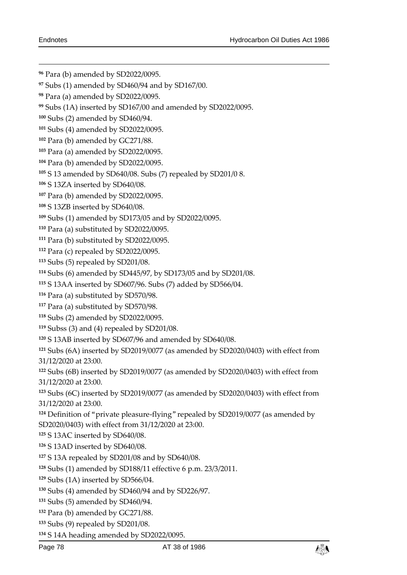- Para (b) amended by SD2022/0095.
- Subs (1) amended by SD460/94 and by SD167/00.
- Para (a) amended by SD2022/0095.
- Subs (1A) inserted by SD167/00 and amended by SD2022/0095.
- Subs (2) amended by SD460/94.
- Subs (4) amended by SD2022/0095.
- Para (b) amended by GC271/88.
- Para (a) amended by SD2022/0095.
- Para (b) amended by SD2022/0095.
- S 13 amended by SD640/08. Subs (7) repealed by SD201/0 8.
- S 13ZA inserted by SD640/08.
- Para (b) amended by SD2022/0095.
- S 13ZB inserted by SD640/08.
- Subs (1) amended by SD173/05 and by SD2022/0095.
- Para (a) substituted by SD2022/0095.
- Para (b) substituted by SD2022/0095.
- Para (c) repealed by SD2022/0095.
- Subs (5) repealed by SD201/08.
- Subs (6) amended by SD445/97, by SD173/05 and by SD201/08.
- S 13AA inserted by SD607/96. Subs (7) added by SD566/04.
- Para (a) substituted by SD570/98.
- Para (a) substituted by SD570/98.
- Subs (2) amended by SD2022/0095.
- Subss (3) and (4) repealed by SD201/08.
- S 13AB inserted by SD607/96 and amended by SD640/08.
- Subs (6A) inserted by SD2019/0077 (as amended by SD2020/0403) with effect from 31/12/2020 at 23:00.
- Subs (6B) inserted by SD2019/0077 (as amended by SD2020/0403) with effect from 31/12/2020 at 23:00.
- Subs (6C) inserted by SD2019/0077 (as amended by SD2020/0403) with effect from 31/12/2020 at 23:00.
- Definition of "private pleasure-flying" repealed by SD2019/0077 (as amended by SD2020/0403) with effect from 31/12/2020 at 23:00.
- S 13AC inserted by SD640/08.
- S 13AD inserted by SD640/08.
- S 13A repealed by SD201/08 and by SD640/08.
- Subs (1) amended by SD188/11 effective 6 p.m. 23/3/2011.
- Subs (1A) inserted by SD566/04.
- Subs (4) amended by SD460/94 and by SD226/97.
- Subs (5) amended by SD460/94.
- Para (b) amended by GC271/88.
- Subs (9) repealed by SD201/08.
- S 14A heading amended by SD2022/0095.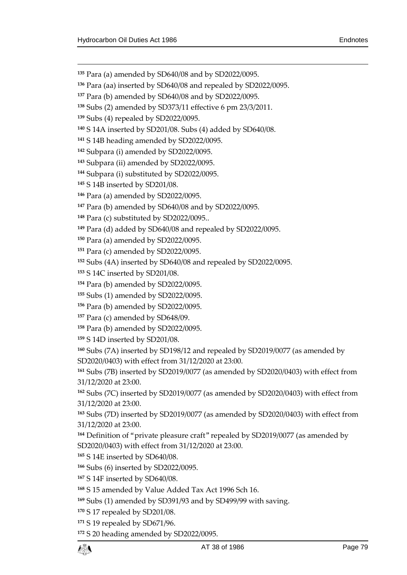Para (a) amended by SD640/08 and by SD2022/0095.

Para (aa) inserted by SD640/08 and repealed by SD2022/0095.

Para (b) amended by SD640/08 and by SD2022/0095.

Subs (2) amended by SD373/11 effective 6 pm 23/3/2011.

Subs (4) repealed by SD2022/0095.

S 14A inserted by SD201/08. Subs (4) added by SD640/08.

S 14B heading amended by SD2022/0095.

Subpara (i) amended by SD2022/0095.

Subpara (ii) amended by SD2022/0095.

Subpara (i) substituted by SD2022/0095.

S 14B inserted by SD201/08.

Para (a) amended by SD2022/0095.

Para (b) amended by SD640/08 and by SD2022/0095.

Para (c) substituted by SD2022/0095..

Para (d) added by SD640/08 and repealed by SD2022/0095.

Para (a) amended by SD2022/0095.

Para (c) amended by SD2022/0095.

Subs (4A) inserted by SD640/08 and repealed by SD2022/0095.

S 14C inserted by SD201/08.

Para (b) amended by SD2022/0095.

Subs (1) amended by SD2022/0095.

Para (b) amended by SD2022/0095.

Para (c) amended by SD648/09.

Para (b) amended by SD2022/0095.

S 14D inserted by SD201/08.

 Subs (7A) inserted by SD198/12 and repealed by SD2019/0077 (as amended by SD2020/0403) with effect from 31/12/2020 at 23:00.

 Subs (7B) inserted by SD2019/0077 (as amended by SD2020/0403) with effect from 31/12/2020 at 23:00.

 Subs (7C) inserted by SD2019/0077 (as amended by SD2020/0403) with effect from 31/12/2020 at 23:00.

 Subs (7D) inserted by SD2019/0077 (as amended by SD2020/0403) with effect from 31/12/2020 at 23:00.

 Definition of "private pleasure craft" repealed by SD2019/0077 (as amended by SD2020/0403) with effect from 31/12/2020 at 23:00.

S 14E inserted by SD640/08.

Subs (6) inserted by SD2022/0095.

S 14F inserted by SD640/08.

S 15 amended by Value Added Tax Act 1996 Sch 16.

Subs (1) amended by SD391/93 and by SD499/99 with saving.

S 17 repealed by SD201/08.

S 19 repealed by SD671/96.

S 20 heading amended by SD2022/0095.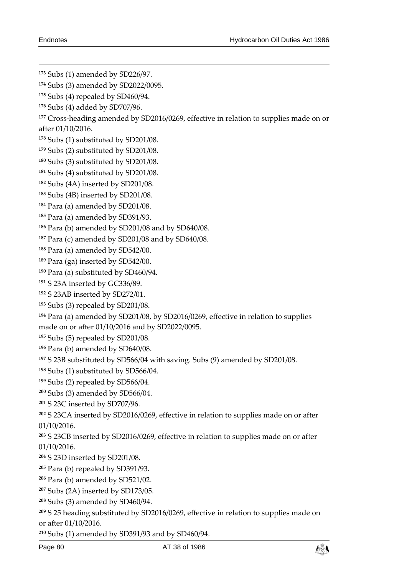- Subs (1) amended by SD226/97.
- Subs (3) amended by SD2022/0095.
- Subs (4) repealed by SD460/94.
- Subs (4) added by SD707/96.
- Cross-heading amended by SD2016/0269, effective in relation to supplies made on or after 01/10/2016.
- Subs (1) substituted by SD201/08.
- Subs (2) substituted by SD201/08.
- Subs (3) substituted by SD201/08.
- Subs (4) substituted by SD201/08.
- Subs (4A) inserted by SD201/08.
- Subs (4B) inserted by SD201/08.
- Para (a) amended by SD201/08.
- Para (a) amended by SD391/93.
- Para (b) amended by SD201/08 and by SD640/08.
- Para (c) amended by SD201/08 and by SD640/08.
- Para (a) amended by SD542/00.
- Para (ga) inserted by SD542/00.
- Para (a) substituted by SD460/94.
- S 23A inserted by GC336/89.
- S 23AB inserted by SD272/01.
- Subs (3) repealed by SD201/08.
- Para (a) amended by SD201/08, by SD2016/0269, effective in relation to supplies made on or after 01/10/2016 and by SD2022/0095.
- Subs (5) repealed by SD201/08.
- Para (b) amended by SD640/08.
- S 23B substituted by SD566/04 with saving. Subs (9) amended by SD201/08.
- Subs (1) substituted by SD566/04.
- Subs (2) repealed by SD566/04.
- Subs (3) amended by SD566/04.
- S 23C inserted by SD707/96.
- S 23CA inserted by SD2016/0269, effective in relation to supplies made on or after 01/10/2016.
- S 23CB inserted by SD2016/0269, effective in relation to supplies made on or after 01/10/2016.
- S 23D inserted by SD201/08.
- Para (b) repealed by SD391/93.
- Para (b) amended by SD521/02.
- Subs (2A) inserted by SD173/05.
- Subs (3) amended by SD460/94.
- S 25 heading substituted by SD2016/0269, effective in relation to supplies made on or after 01/10/2016.
- Subs (1) amended by SD391/93 and by SD460/94.

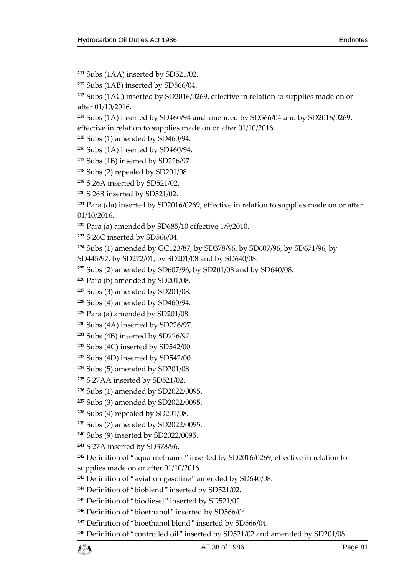Subs (1AA) inserted by SD521/02.

Subs (1AB) inserted by SD566/04.

 Subs (1AC) inserted by SD2016/0269, effective in relation to supplies made on or after 01/10/2016.

 Subs (1A) inserted by SD460/94 and amended by SD566/04 and by SD2016/0269, effective in relation to supplies made on or after 01/10/2016.

Subs (1) amended by SD460/94.

Subs (1A) inserted by SD460/94.

Subs (1B) inserted by SD226/97.

Subs (2) repealed by SD201/08.

S 26A inserted by SD521/02.

S 26B inserted by SD521/02.

 Para (da) inserted by SD2016/0269, effective in relation to supplies made on or after 01/10/2016.

Para (a) amended by SD685/10 effective 1/9/2010.

S 26C inserted by SD566/04.

Subs (1) amended by GC123/87, by SD378/96, by SD607/96, by SD671/96, by

SD445/97, by SD272/01, by SD201/08 and by SD640/08.

Subs (2) amended by SD607/96, by SD201/08 and by SD640/08.

Para (b) amended by SD201/08.

Subs (3) amended by SD201/08.

Subs (4) amended by SD460/94.

Para (a) amended by SD201/08.

Subs (4A) inserted by SD226/97.

Subs (4B) inserted by SD226/97.

Subs (4C) inserted by SD542/00.

Subs (4D) inserted by SD542/00.

Subs (5) amended by SD201/08.

S 27AA inserted by SD521/02.

Subs (1) amended by SD2022/0095.

Subs (3) amended by SD2022/0095.

Subs (4) repealed by SD201/08.

Subs (7) amended by SD2022/0095.

Subs (9) inserted by SD2022/0095.

S 27A inserted by SD378/96.

Definition of "aqua methanol" inserted by SD2016/0269, effective in relation to

supplies made on or after 01/10/2016.

Definition of "aviation gasoline" amended by SD640/08.

Definition of "bioblend" inserted by SD521/02.

Definition of "biodiesel" inserted by SD521/02.

Definition of "bioethanol" inserted by SD566/04.

Definition of "bioethanol blend" inserted by SD566/04.

Definition of "controlled oil" inserted by SD521/02 and amended by SD201/08.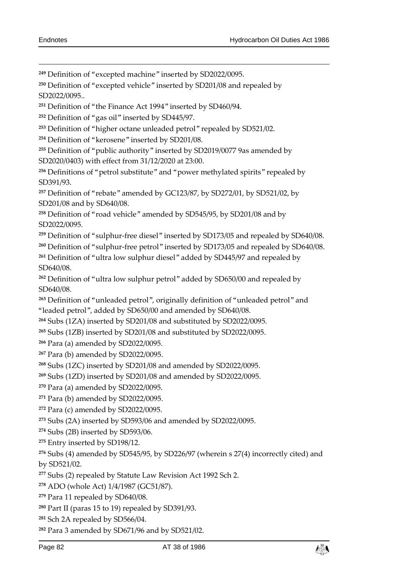Definition of "excepted machine" inserted by SD2022/0095.

 Definition of "excepted vehicle" inserted by SD201/08 and repealed by SD2022/0095..

Definition of "the Finance Act 1994" inserted by SD460/94.

Definition of "gas oil" inserted by SD445/97.

Definition of "higher octane unleaded petrol" repealed by SD521/02.

Definition of "kerosene" inserted by SD201/08.

 Definition of "public authority" inserted by SD2019/0077 9as amended by SD2020/0403) with effect from 31/12/2020 at 23:00.

<sup>256</sup> Definitions of "petrol substitute" and "power methylated spirits" repealed by SD391/93.

 Definition of "rebate" amended by GC123/87, by SD272/01, by SD521/02, by SD201/08 and by SD640/08.

 Definition of "road vehicle" amended by SD545/95, by SD201/08 and by SD2022/0095.

Definition of "sulphur-free diesel" inserted by SD173/05 and repealed by SD640/08.

Definition of "sulphur-free petrol" inserted by SD173/05 and repealed by SD640/08.

 Definition of "ultra low sulphur diesel" added by SD445/97 and repealed by SD640/08.

 Definition of "ultra low sulphur petrol" added by SD650/00 and repealed by SD640/08.

 Definition of "unleaded petrol", originally definition of "unleaded petrol" and "leaded petrol", added by SD650/00 and amended by SD640/08.

Subs (1ZA) inserted by SD201/08 and substituted by SD2022/0095.

Subs (1ZB) inserted by SD201/08 and substituted by SD2022/0095.

Para (a) amended by SD2022/0095.

Para (b) amended by SD2022/0095.

Subs (1ZC) inserted by SD201/08 and amended by SD2022/0095.

Subs (1ZD) inserted by SD201/08 and amended by SD2022/0095.

Para (a) amended by SD2022/0095.

Para (b) amended by SD2022/0095.

Para (c) amended by SD2022/0095.

Subs (2A) inserted by SD593/06 and amended by SD2022/0095.

Subs (2B) inserted by SD593/06.

Entry inserted by SD198/12.

 Subs (4) amended by SD545/95, by SD226/97 (wherein s 27(4) incorrectly cited) and by SD521/02.

Subs (2) repealed by Statute Law Revision Act 1992 Sch 2.

ADO (whole Act) 1/4/1987 (GC51/87).

Para 11 repealed by SD640/08.

Part II (paras 15 to 19) repealed by SD391/93.

Sch 2A repealed by SD566/04.

Para 3 amended by SD671/96 and by SD521/02.

Page 82  $\begin{matrix} \begin{matrix} 2 \end{matrix} \end{matrix}$  and  $\begin{matrix} 4 \end{matrix}$  and  $\begin{matrix} 4 \end{matrix}$  and  $\begin{matrix} 4 \end{matrix}$  and  $\begin{matrix} 4 \end{matrix}$  and  $\begin{matrix} 4 \end{matrix}$  and  $\begin{matrix} 4 \end{matrix}$  and  $\begin{matrix} 4 \end{matrix}$  and  $\begin{matrix} 4 \end{matrix}$  and  $\begin{matrix} 4 \end{matrix}$  and  $\begin{matrix} 4 \end{matrix}$